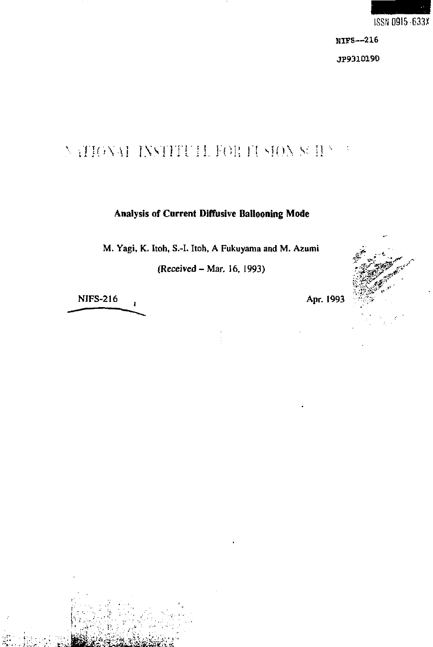

# NATIONAL INSTITUTE FOR IUSION SURVUS

## Analysis of Current Diffusive Ballooning Mode

M. Yagi, K. Itoh, S.-I. Itoh, A Fukuyama and M. Azumi

(Received - Mar. 16, 1993)

**NIFS-216**  $\mathbf{I}$  Apr. 1993

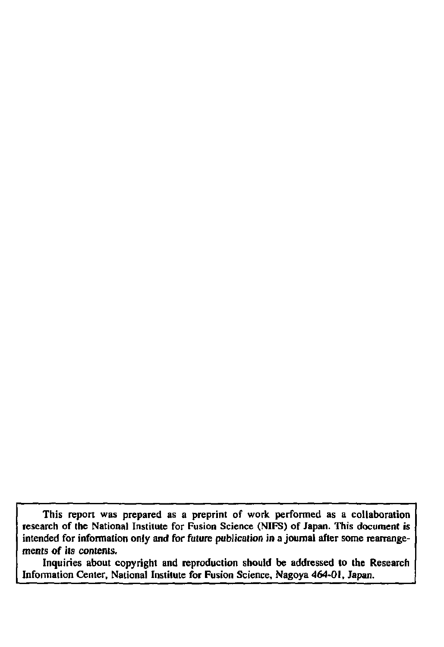This report was prepared as a preprint of work performed as a collaboration **research of the National Institute for Fusion Science (NIFS) of Japan. This document is intended for informalion only and for future publication in a journal after some rearrangements of its contents.** 

**Inquiries about copyright and reproduction should be addressed to the Research Information Center, National Institute for Fusion Science, Nagoya 464-01, Japan.**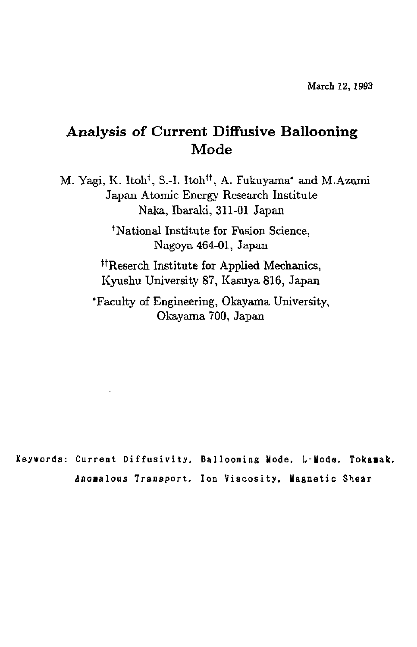# Analysis of Current Diffusive Ballooning Mode

M. Yagi, K. Itoh', S.-I. Itoh", A. Fukuyama\* and M.Azumi Japan Atomic Energy Research Institute Naka, Ibaraki, 311-01 Japan

> 'National Institute for Fusion Science, Nagoya 464-01, Japan

"Reserch Institute for Applied Mechanics, Kyushu University 87, Kasuya 816, Japan

'Faculty of Engineering, Okayama University, Okayama 700, Japan

Keywords: Current Diffusivity, Ballooning Mode, L-Mode, Tokamak, Anooalous Transport, Ion Viscosity, Magnetic Shear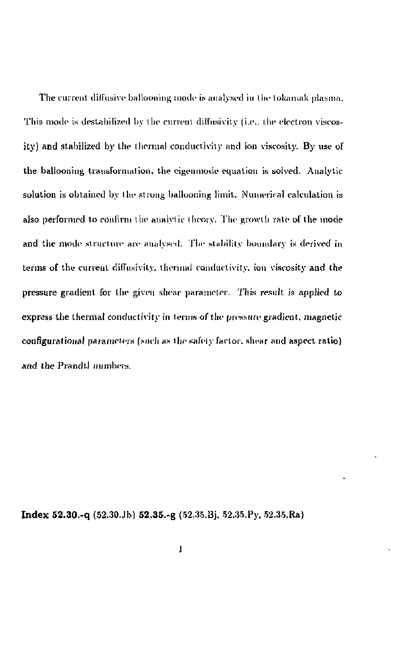The current diffusive ballooning mode is analysed in tin- tokamak plasma. This mode is destabilized by the current diffusivity (i.e., the electron viscosity) and stabilized by the thermal conductivity and ion viscosity. By use of the ballooning transformation, the eigenmode equation is solved. Analytic solution is obtained by the strong ballooning limit. Numerical calculation is also performed to confirm the analytic theory. The growth rate of the mode and the mode structure are analysed. The stability boundary is derived in terms of the current diffusivity. thermal conductivity, ion viscosity and the pressure gradient for the given shear parameter. This result is applied to express the thermal conductivity in terms of the pressure gradient, magnetic configurational parameters (such as the safety factor, shear and aspect ratio) and the Prandll numbers.

**Inde x 52.30.-q** (52.30.Jb) **52.35.-g** ([52.35.Bj,](http://52.35.Bj) 52.35.Py, [52.35.Ra\)](http://52.35.Ra)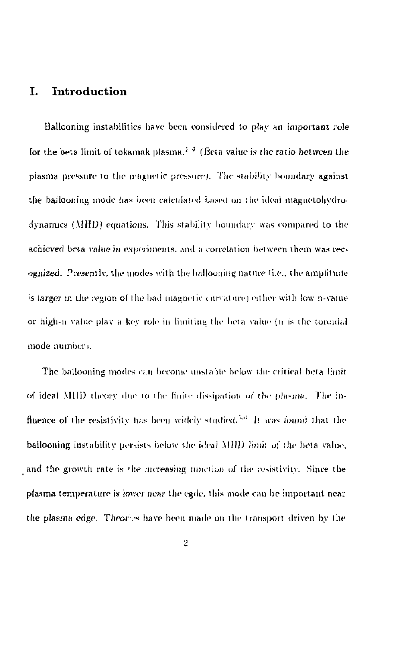## I. Introduction

Ballooning instabilities have been considered to play an important role for the beta limit of tokamak plasma.<sup>1-4</sup> (Beta value is the ratio between the plasma pressure to the magnetic pressure). The stability boundary against the ballooning mode has been calculated based on the ideal magnetohydrodynamicy (MUD) equations. This stability boundary was compared lo the achieved beta value in experiments, and a correlation between them was recognized. Presentlv, the modes with the ballooning nature (i.e., the amplitude *'>\$* larger *m* the region of tin? bad magnetic curvature] either with low n-vaiue or high-n value play a key role in limiting the beta value (n is the toroidal mode number i.

The ballooning modes can become unstable below the critical beta limit of ideal Mill) iheory *y\ur* 10 l lie finite dissipation of the plasma. The influence of the resistivity has been widely studied.<sup>536</sup> It was found that the ballooning instability persists below the ideal Mill) limit of tin- beta value, and the growth rate is the increasing function of the resistivity. Since the plasma temperature is lower near the egde, this mode can be important near the plasma edge. Theories have been made on the transport driven by the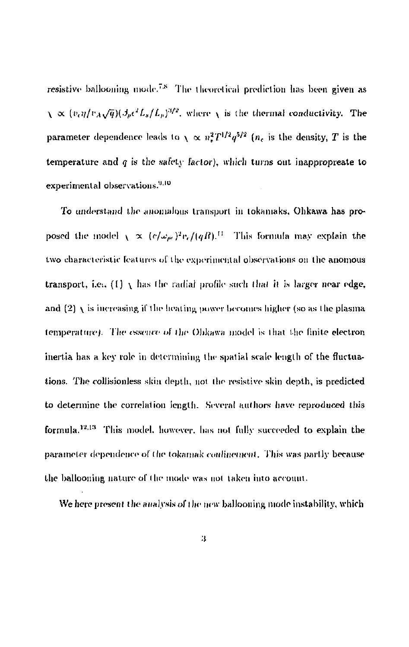resistive ballooning mode.'^ The theoretical prediction has been given as  $\chi \propto (v_e \eta / v_A \sqrt{q}) (\beta_p e^t L_s / L_p)^{3/2}$ , where  $\chi$  is the thermal conductivity. The parameter dependence leads to  $\chi \propto n_{\pi}^{2}T^{1/2}q^{3/2}$  ( $n_{e}$  is the density, *T* is the temperature and  $q$  is the safety factor), which turns out inappropreate to experimental observations.<sup>9,10</sup>

To understand the anomalous transport in lokamaks, Ohkawa has proposed the model  $\sqrt{\propto (c/\omega_{pe})^2 v_r/(qR)}$ .<sup>[1]</sup> This formula may explain the two characteristic features of the experimental observations on the auomous transport, i.e.. (1)  $\chi$  has the radial profile such that it is larger near edge, and  $(2)$   $\chi$  is increasing if the heating power becomes higher (so as the plasma temperature). The *essence* of the Ohkawa model is that the finite electron inertia has a key role in determining the spatial scale length of the fluctuations. The collisionless skin depth, not the resistive skin depth, is predicted to determine the correlation length. Several authors have reproduced this formula.<sup>12,13</sup> This model, however, has not fully succeeded to explain the parameter dependence of the tokamak confinement. This was partly because the ballooning nature of the mode was not taken into account.

We here present the analysis of the new ballooning mode instability, which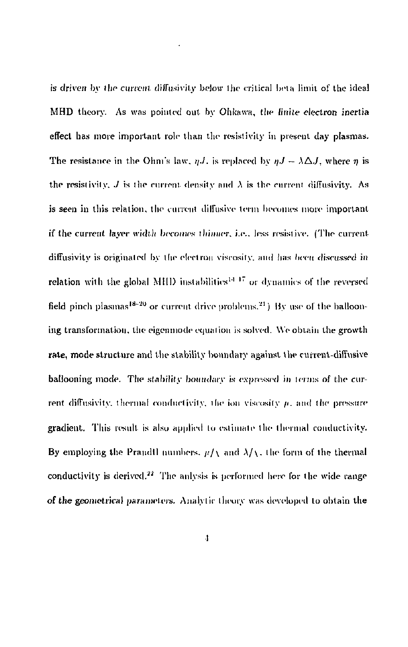is driven by the current diflusivily below ihe critical beta limit of the ideal MHD theory. As was pointed out by Ohkawa, the finite electron inertia effect has more important role than the resistivity in present day plasmas. The resistance in the Ohm's law. *n.l.* is replaced by  $nJ = \lambda \Delta J$ , where *n* is the resistivity.  $J$  is the current density and  $\lambda$  is the current diffusivity. As is seen in this relation, the current diffusive term becomes more important if the current layer width becomes thinner, i.e., less resistive. (The current diffusivity is originated by the electron viscosity, and lias heeit discussed in relation with the global MHD instabilities<sup>14 17</sup> or dynamics of the reversed field pinch plasmas  $18-20$  or current drive problems.  $^{21}$  ). By use of the ballooning transformation, the eigenmode equation is solved. We obtain the growth rate, mode structure and the stability boundary against the current-diffusive ballooning mode. The stability boundary is expressed in terms of the current diffusivitv. thermal conductivity, the ion viscosity */i.* and the pressure gradient. This result is also applied to estimate the thermal conductivity. By employing the Prandtl numbers.  $\mu/\sqrt{\mu}$  and  $\lambda/\sqrt{\mu}$  the form of the thermal conductivity is derived.<sup>22</sup> The anlysis is performed here for the wide range of the geometrical parameters. Analytic theory was developed to obtain the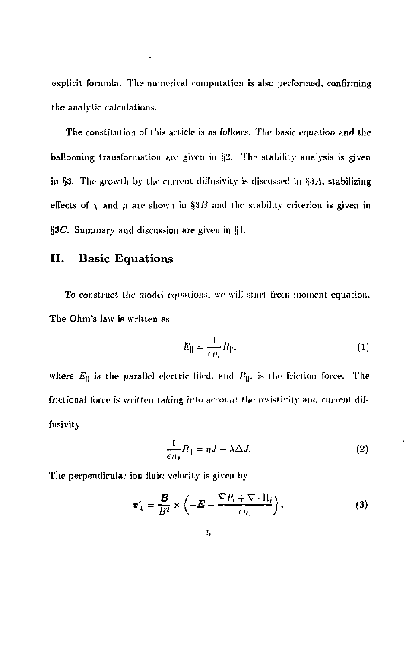explicit formula. The numerical computation is also performed, confirming the analytic calculations.

.

The constitution of tins article is as follows. The basic *equation ami* the ballooning transformation arc given in §2. The stability analysis is given in §3. The growth by the current diffusivity is discussed in  $$3.4$ , stabilizing effects of  $\bf{v}$  and  $\bf{u}$  are shown in §3*B* and the stability criterion is given in §3C. Summary and discussion are given in §1.

## II. Basic Equations

To construct the model equations, we will start from moment equation. The Ohm's law is written as

$$
E_{\parallel} = \frac{1}{en} R_{\parallel}.
$$
 (1)

where  $E_{\parallel}$  is the parallel electric filed. and  $R_{\parallel}$ , is the friction force. The frictionai (bice is written taking into account the resistivity and current diffusivity

$$
\frac{1}{en_{\epsilon}}R_{\parallel} = \eta J - \lambda \Delta J. \tag{2}
$$

The perpendicular ion fluid velocity is given by

$$
\mathbf{v}_{\perp}^{i} = \frac{\mathbf{B}}{B^{2}} \times \left( -\mathbf{E} - \frac{\nabla P_{i} + \nabla \cdot \mathbf{H}_{i}}{(n_{i})} \right). \tag{3}
$$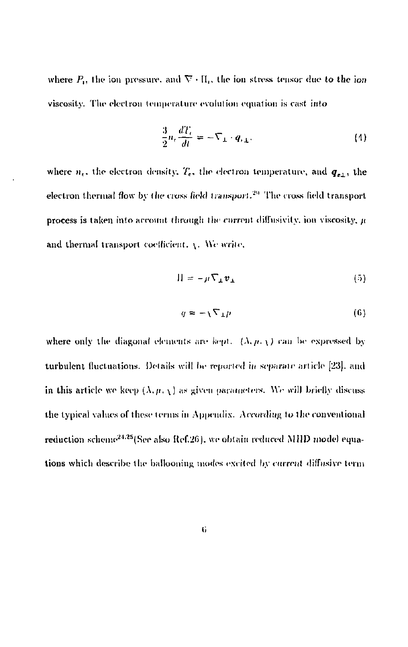where  $P_i$ , the ion pressure, and  $\nabla \cdot \Pi_i$ , the ion stress tensor due to the ion viscosity. The electron temperature evolution equation is cast into

$$
\frac{3}{2}n_e\frac{dT_e}{dt} = -\nabla_\perp \cdot q_{e\perp}.\tag{4}
$$

where  $n_e$ , the electron density,  $T_e$ , the electron temperature, and  $q_{e\perp}$ , the electron thermal flow by the cross field transport.<sup>29</sup> The cross field transport process is taken into account through the current diffusivity, ion viscosity,  $\mu$ and thermal transport coefficient,  $\chi$ . We write,

$$
\Pi = -\mu \nabla_{\perp} \boldsymbol{v}_{\perp} \tag{5}
$$

$$
q = -\sqrt{\nabla_{\perp} \mu} \tag{6}
$$

where only the diagonal elements are kept.  $(\lambda, \mu, \chi)$  can be expressed by turbulent fluctuations. Details will be reported in separate article [23], and in this article we keep  $(\lambda, \mu, \chi)$  as given parameters. We will briefly discuss the typical values of these terms in Appendix'. According to the conventional reduction scheme<sup>24,25</sup>(See also Ref.26), we obtain reduced MHD model equations which describe the ballooning modes excited by current diffusive term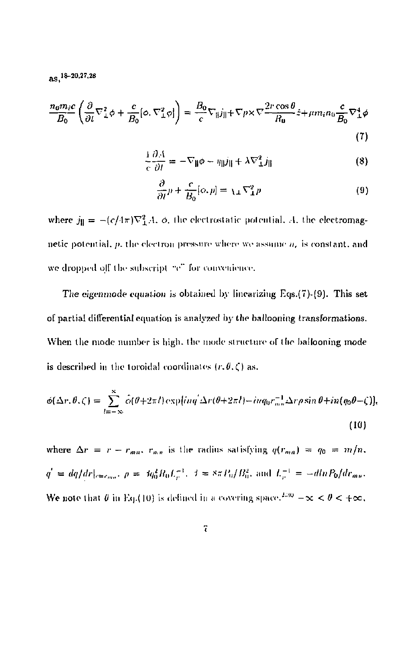as.<sup>18-20,27,28</sup>

$$
\frac{n_0 m_i c}{B_0} \left( \frac{\partial}{\partial t} \nabla_{\perp}^2 \phi + \frac{c}{B_0} [\phi, \nabla_{\perp}^2 \phi] \right) = \frac{B_0}{c} \nabla_{\parallel} j_{\parallel} + \nabla p \times \nabla \frac{2r \cos \theta}{R_0} \hat{z} + \mu m_i n_0 \frac{c}{B_0} \nabla_{\perp}^4 \phi
$$
\n(7)

$$
\frac{\partial A}{\partial t} = -\nabla_{\parallel} \phi - \eta_{\parallel} j_{\parallel} + \lambda \nabla_{\perp}^2 j_{\parallel}
$$
 (8)

$$
\frac{\partial}{\partial t}p + \frac{c}{B_0}[\phi, p] = \chi_{\perp} \nabla_{\perp}^2 p \tag{9}
$$

where  $j_{\parallel} = -(c/4\pi)\nabla_{\perp}^2 A$ ,  $\phi$ , the electrostatic potential, A, the electromagnetic potential,  $p$ , the electron pressure where we assume  $n<sub>i</sub>$  is constant, and we dropped off the subscript "e" for convenience.

The eigenmode equation is obtained by linearizing Eqs.(7)-(9). This set of partial differential equation is analyzed by the ballooning transformations. When the mode number is high, the mode structure of the ballooning mode is described in the toroidal coordinates  $(r, \theta, \zeta)$  as,

$$
\phi(\Delta r, \theta, \zeta) = \sum_{l=-\infty}^{\infty} \hat{o}(\theta + 2\pi l) \exp[i n q' \Delta r(\theta + 2\pi l) - i n q_0 r_{mn}^{-1} \Delta r \rho \sin \theta + i n (q_0 \theta - \zeta)]
$$
\n(10)

where  $\Delta r = r - r_{max} r_{max}$  is the radius satisfying  $q(r_{max}) = q_0 = m/n$ .  $q^{'}\,=\,dq/dr|_{r=r_{me}},\,\,\rho\,=\,\beta q_0^2R_0L_r^{-1},\ \, \beta\,=\,8\pi\,P_0/B_0^2,\,\,{\rm and}\ \, L_r^{-1}\,=\,-dlnP_0/dr_{me},$ We note that  $\theta$  in Eq.(10) is defined in a covering space.<sup>230</sup>  $-\infty < \theta < +\infty$ ,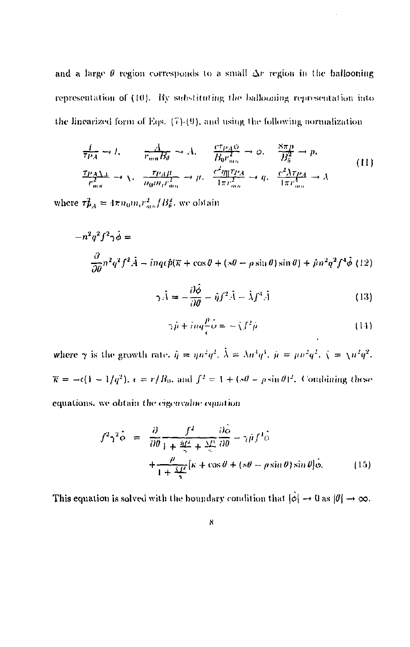and a large  $\theta$  region corresponds to a small  $\Delta r$  region in the ballooning representation of (10). By substituting the ballooning representation into the linearized form of Eqs.  $(7)(9)$ , and using the following normalization

$$
\frac{1}{Tp_A} \rightarrow 1, \qquad \frac{A}{r_{mn}B_\theta} \rightarrow A, \qquad \frac{c_{TP_AQ}}{B_0 r_{mn}^2} \rightarrow \phi, \qquad \frac{8\pi p}{B_\theta^2} \rightarrow p,
$$
\n
$$
\frac{TP_AA}{r_{mn}^2} \rightarrow \chi, \qquad \frac{TP_AH}{n_0 m_r r_{mn}^2} \rightarrow \mu, \qquad \frac{c^2 g_{\parallel} T_{PA}}{4\pi r_{mn}^2} \rightarrow \mu, \qquad \frac{c^2 \lambda T_{PA}}{4\pi r_{mn}^2} \rightarrow \lambda
$$
\n(11)

where  $\tau_{PA}^2 = 4\pi n_0 m_i r_{mn}^2 / B_\theta^2$ , we obtain

$$
-n^2q^2f^2\gamma\dot{\phi} =
$$
  

$$
\frac{\partial}{\partial\theta}n^2q^2f^2\dot{A} - inq\epsilon\dot{p}(\pi + \cos\theta + (s\theta - \rho\sin\theta)\sin\theta) + \beta n^2q^2f^4\dot{\phi}
$$
(12)

$$
\gamma \hat{A} = -\frac{\partial \phi}{\partial \theta} - \hat{\eta} f^2 \hat{A} - \hat{\lambda} f^4 \hat{A}
$$
 (13)

$$
\gamma \hat{p} + i m q \frac{\rho}{\epsilon} \hat{\phi} = -\hat{\chi} f^2 \hat{p} \tag{14}
$$

where  $\gamma$  is the growth rate,  $\hat{\eta} = \eta n^2 q^2$ ,  $\hat{\lambda} = \lambda n^3 q^3$ ,  $\hat{\mu} = \mu n^2 q^2$ ,  $\hat{\chi} = \chi n^2 q^2$ ,  $\overline{\kappa} = -\epsilon (1 - 1/q^2)$ ,  $\epsilon = r/R_0$ , and  $f^2 = 1 + (s\theta - \rho \sin \theta)^2$ . Combining these equations, we obtain the eigenvalue equation

$$
f^2 \gamma^2 \dot{\phi} = \frac{\partial}{\partial \theta} \frac{f^2}{1 + \frac{\dot{a}f^2}{\gamma} + \frac{\gamma f}{\gamma}} \frac{\partial \dot{\phi}}{\partial \theta} - \gamma \dot{\mu} f^T \dot{\phi}
$$
  
+ 
$$
\frac{\rho}{1 + \frac{\dot{\gamma}f}{\gamma}} [\kappa + \cos \theta + (\kappa \theta - \rho \sin \theta) \sin \theta] \dot{\phi}.
$$
 (15)

This equation is solved with the boundary condition that  $|\hat{\phi}| \to 0$  as  $|\theta| \to \infty.$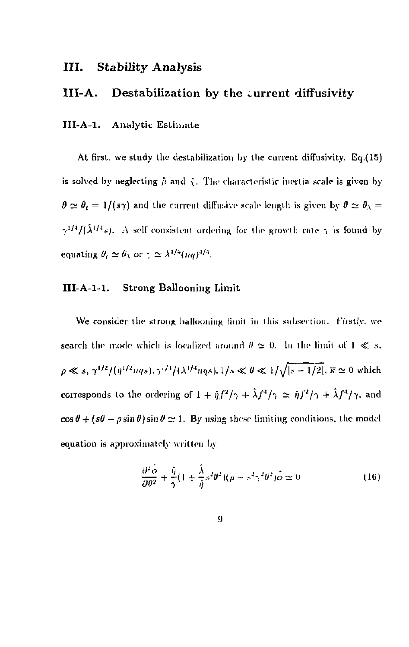## III. Stability Analysis

## III-A. Destabilization by the current diffusivity

#### **III-A-1. Analytic Estimate**

At first, we study the destabilization by the current diffusivity. Eq.(15) is solved by neglecting  $\hat{\mu}$  and  $\hat{\chi}$ . The characteristic inertia scale is given by  $\theta \simeq \theta_t = 1/(s\gamma)$  and the current diffusive scale length is given by  $\theta \simeq \theta_\lambda = 0$  $\gamma^{1/4}/(\lambda^{1/4}s)$ . A self consistent ordering for the growth rate  $\gamma$  is found by equating  $\theta_t \simeq \theta \setminus \text{or } \gamma \simeq \lambda^{1/5} (nq)^{1/5}$ .

#### **III-A-1-1. Strong Ballooning Limit**

We consider the strong ballooning limit in this subsection. Firstly, we search the mode which is localized around  $\theta \simeq 0$ . In the limit of  $1 \ll s$ .  $p \ll s$ ,  $\gamma^{1/2}/(\eta^{1/2}nqs)$ ,  $\gamma^{1/4}/(\lambda^{1/4}nqs)$ ,  $1/s \ll 0 \ll 1/\sqrt{|s-1/2|}$ ,  $\bar{s} \simeq 0$  which corresponds to the ordering of  $1 + \hat{\eta} f^2/\gamma + \hat{\lambda} f^4/\gamma \simeq \hat{\eta} f^2/\gamma + \hat{\lambda} f^4/\gamma$ , and  $\cos\theta + (s\theta - \rho\sin\theta)\sin\theta \simeq 1$ . By using these limiting conditions, the model equation is approximately written by

$$
\frac{\partial^2 \dot{\phi}}{\partial \theta^2} + \frac{\hat{\eta}}{\gamma} (1 + \frac{\hat{\lambda}}{\hat{\eta}} s^2 \theta^2)(\rho - s^2 \gamma^2 \theta^2) \dot{\phi} \simeq 0 \tag{16}
$$

$$
\boldsymbol{\Omega}^{\text{in}}
$$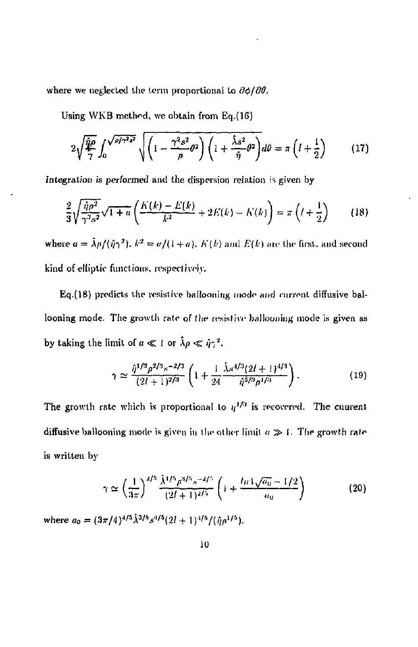where we neglected the term proportional to  $\partial \phi / \partial \theta$ .

Using VVKB method, we obtain from Eq.(16)

$$
2\sqrt{\frac{\hat{q}\rho}{\gamma}}\int_0^{\sqrt{\rho/\gamma^2s^2}}\sqrt{\left(1-\frac{\gamma^2s^2}{\rho}\theta^2\right)\left(1+\frac{\hat{\lambda}s^2}{\hat{\eta}}\theta^2\right)}d\theta=\pi\left(l+\frac{1}{2}\right) \tag{17}
$$

Integration is performed and the dispersion relation is given by

$$
\frac{2}{3}\sqrt{\frac{\hat{\eta}\rho^2}{\gamma^3 s^2}}\sqrt{1+a}\left(\frac{K(k)-E(k)}{k^2}+2E(k)-K(k)\right)=\pi\left(l+\frac{1}{2}\right)\qquad(18)
$$

where  $a = \lambda \rho / (\hat{\eta} \gamma^2)$ ,  $k^2 = a/(1+a)$ ,  $K(k)$  and  $E(k)$  are the first, and second kind of elliptic functions, rcspecl i *vo)y.* 

Eq.(18) predicts the resistive ballooning mode and current diffusive ballooning mode. The growth rate of the resistive ballooning mode is given as by taking the limit of  $a \ll 1$  or  $\lambda \rho \ll \hat{\eta} \gamma^2$ .

$$
\gamma \simeq \frac{\hat{\eta}^{1/3} \rho^{2/3} s^{-2/3}}{(2l+1)^{2/3}} \left( 1 + \frac{1}{24} \frac{\hat{\lambda} s^{4/3} (2l+1)^{4/3}}{\hat{\eta}^{5/3} \rho^{1/3}} \right). \tag{19}
$$

The growth rate which is proportional to  $y^{1/3}$  is recovered. The cuarent diffusive ballooning mode is given in the other limit  $a \gg 1$ . The growth rate is written by

$$
\gamma \simeq \left(\frac{1}{3\pi}\right)^{2/5} \frac{\hat{\lambda}^{1/5} \hat{\rho}^{3/5} s^{-2/5}}{(2l+1)^{2/5}} \left(1 + \frac{l\pi \sqrt{a_0} - 1/2}{a_0}\right) \tag{20}
$$

where  $a_0 = (3\pi/4)^{1/5} \lambda^{3/5} s^{1/5} (2l + 1)^{1/5} / (\hat{\eta} \rho^{1/5}).$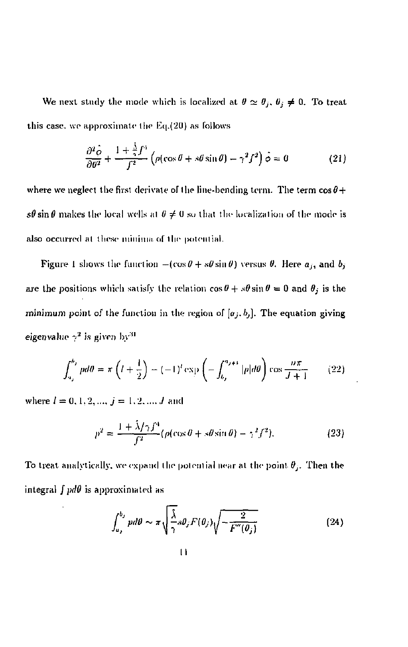We next study the mode which is localized at  $\theta \simeq \theta_j$ ,  $\theta_j \neq 0$ . To treat this case, we approximate llie Kq.(2U) as follows

$$
\frac{\partial^2 \dot{\phi}}{\partial \theta^2} + \frac{1 + \frac{\dot{\lambda}}{\gamma} f^4}{f^2} \left( \rho(\cos \theta + s\theta \sin \theta) - \gamma^2 f^2 \right) \dot{\phi} = 0 \tag{21}
$$

where we neglect the first derivate of the line-bending term. The term  $\cos\theta +$  $s\theta$  sin  $\theta$  makes the local wells at  $\theta \neq 0$  so that the localization of the mode is also occurred at these minima of the potential.

Figure 1 shows the function  $-(\cos\theta + s\theta\sin\theta)$  versus  $\theta$ . Here  $a_j$ , and  $b_j$ are the positions which satisfy the relation  $\cos \theta + s\theta \sin \theta = 0$  and  $\theta_j$  is the minimum point of the function in the region of  $[a_j, b_j]$ . The equation giving eigenvalue *~ 2* is given by' <sup>1</sup>

$$
\int_{u_j}^{h_j} p d\theta = \pi \left( l + \frac{1}{2} \right) - (-1)^i \exp \left( - \int_{u_j}^{u_{j+1}} |p| d\theta \right) \cos \frac{n\pi}{J+1} \qquad (22)
$$

where  $l = 0, 1, 2, ..., j = 1, 2, ..., J$  and

$$
p^2 = \frac{1 + \hat{\lambda}/\gamma f^4}{f^2} (\rho(\cos\theta + s\theta\sin\theta) - \gamma^2 f^2).
$$
 (23)

To treat analytically, we expand the potential near at the point  $\theta_i$ . Then the integral /*pdO* is approximated as

$$
\int_{a_j}^{b_j} pd\theta \sim \pi \sqrt{\frac{\lambda}{2}} s\theta_j F(\theta_j) \sqrt{-\frac{2}{F''(\theta_j)}}
$$
\n(24)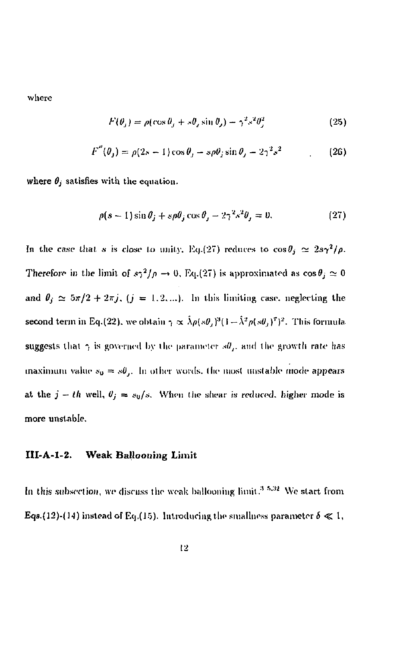where

$$
F(\theta_j) = \rho(\cos \theta_j + s\theta_j \sin \theta_j) - \gamma^2 s^2 \theta_j^2 \tag{25}
$$

$$
F''(\theta_j) = \rho(2s - 1)\cos\theta_j - s\rho\theta_j\sin\theta_j - 2\gamma^2 s^2 \tag{26}
$$

where  $\theta_j$  satisfies with the equation.

$$
\rho(s-1)\sin\theta_j + s\rho\theta_j\cos\theta_j - 2\gamma^2 s^2\theta_j = 0. \tag{27}
$$

In the case that  $s$  is close to unity, Eq.(27) reduces to  $\cos\theta_j \simeq 2s\gamma^2/\rho$ . Therefore in the limit of  $s\gamma^2/\rho \to 0$ , Eq.(27) is approximated as  $\cos\theta_i \simeq 0$ and  $\theta_i \approx 5\pi/2 + 2\pi j$ ,  $(j = 1, 2, \ldots)$ . In this limiting case, neglecting the second term in Eq.(22), we obtain  $\gamma \propto \lambda \rho (s\theta_i)^3 (1 - \lambda^2 \rho (s\theta_i)^7)^2$ . This formula suggests that  $\gamma$  is governed by the parameter  $s\theta$ , and the growth rate has maximum value  $s_0 = s\theta_j$ . In other words, the most unstable mode appears at the  $j - th$  well,  $\theta_j = s_0/s$ . When the shear is reduced, higher mode is more unstable.

#### **III-A-I-2. Weak Ballooning Limit**

**hi** this subsection, we discuss the weak ballooning limit."1 *h:s <sup>i</sup>* We start from Eqs.(12)-(14) instead of Eq.(15). Introducing the smallness parameter  $\delta \ll 1$ ,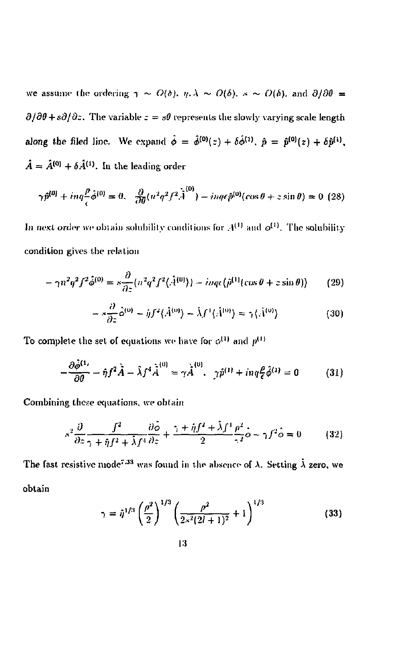we assume the ordering  $\gamma \sim O(\delta)$ ,  $\eta.\lambda \sim O(\delta)$ .  $\gamma \sim O(\delta)$ . and  $\partial/\partial\theta =$  $\partial/\partial\theta + s\partial/\partial z$ . The variable  $z = s\theta$  represents the slowly varying scale length along the filed line. We expand  $\phi = \phi^{(0)}(z) + \delta \phi^{(1)}$ ,  $\hat{p} = \hat{p}^{(0)}(z) + \delta \hat{p}^{(1)}$ ,  $A = A^{(0)} + \delta A^{(1)}$ . In the leading order

$$
\gamma \hat{p}^{(0)} + i n q \frac{\beta}{\epsilon} \hat{\phi}^{(0)} = 0, \quad \frac{\partial}{\partial \theta} (n^2 q^2 f^2 \hat{A}^{(0)}) - i n q \epsilon \hat{p}^{(0)}(\cos \theta + z \sin \theta) = 0 \tag{28}
$$

In next order we obtain solubility conditions for  $A^{(1)}$  and  $\phi^{(1)}$ . The solubility condition gives the relation

$$
-\gamma n^2 q^2 f^2 \hat{\phi}^{(0)} = s \frac{\partial}{\partial z} \{n^2 q^2 f^2 \langle \hat{A}^{(0)} \rangle\} - inq\epsilon \{\hat{\rho}^{(1)}(\cos\theta + z\sin\theta)\} \tag{29}
$$

$$
-s\frac{\partial}{\partial z}\hat{\phi}^{(0)} - ijJ^{2}(\hat{A}^{(0)}) - \hat{\lambda}J^{1}(\hat{A}^{(0)}) = \gamma(\hat{A}^{(0)})
$$
\n(30)

To complete the set of equations we have for  $\phi^{(1)}$  and  $p^{(1)}$ 

$$
-\frac{\partial \hat{\phi}^{(1)}}{\partial \theta} - \hat{\eta} f^2 \hat{A} - \hat{\lambda} f^4 \hat{\dot{A}}^{(0)} = \gamma \hat{\dot{A}}^{(0)}, \ \ \hat{\eta}^{\delta^{(1)}} + i n q \frac{\rho}{\epsilon} \hat{\phi}^{(1)} = 0 \tag{31}
$$

Combining these equations, we obtain

$$
s^2 \frac{\partial}{\partial z} \frac{f^2}{\gamma + i\eta f^2 + \hat{\lambda} f^4} \frac{\partial \hat{\phi}}{\partial z} + \frac{\gamma + i\eta f^2 + \hat{\lambda} f^4}{2} \frac{\rho^2}{\gamma f^2} \hat{\phi} - \gamma f^2 \hat{\phi} = 0 \tag{32}
$$

The fast resistive mode<sup>7,33</sup> was found in the absence of  $\lambda$ . Setting  $\bar{\lambda}$  zero, we obtain

$$
\gamma = \hat{\eta}^{1/3} \left(\frac{\rho^2}{2}\right)^{1/3} \left(\frac{\rho^2}{2\kappa^2 (2l+1)^2} + 1\right)^{1/3} \tag{33}
$$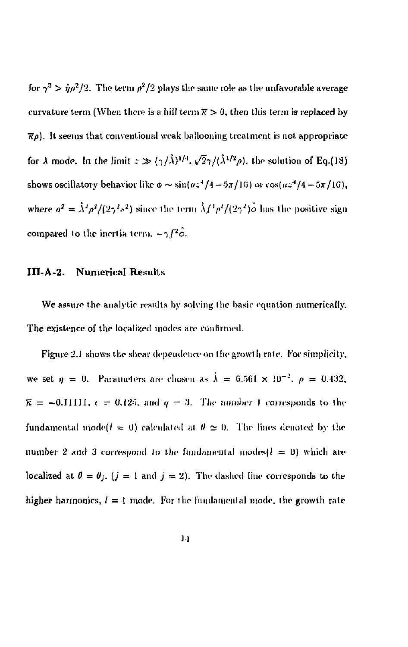for  $\gamma^3 > \hat{\eta} \rho^2/2$ . The term  $\rho^2/2$  plays the same role as the unfavorable average curvature term (When there is a hill term  $\overline{x} > 0$ , then this term is replaced by  $\overline{\kappa}\rho$ ). It seems that conventional weak ballooning treatment is not appropriate for  $\lambda$  mode. In the limit  $z \gg (\gamma/\lambda)^{1/4}$ ,  $\sqrt{2\gamma}/(\lambda^{1/2}\rho)$ , the solution of Eq.(18) shows oscillatory behavior like  $\phi \sim \sin(\alpha z^4/4 - 5\pi/16)$  or  $\cos(\alpha z^4/4 - 5\pi/16)$ , where  $a^2 = \lambda^2 \rho^2/(2\gamma^2 s^2)$  since the term  $\lambda f^4 \rho^2/(2\gamma^2) \phi$  has the positive sign compared to the inertia term.  $-\gamma f^2 \hat{\phi}$ .

#### **III-A-2. Numerical Results**

We assure the analytic results by solving the basic equation numerically. The existence of the localized modes arc confirmed.

Figure 2.1 shows the shear dependence on the growth rate. For simplicity, we set  $\eta = 0$ . Parameters are chosen as  $\lambda = 6.561 \times 10^{-2}$ ,  $\rho = 0.432$ ,  $\bar{\kappa}$  = -0.1IIII,  $\epsilon$  = 0.125, and  $q = 3$ . The number 1 corresponds to the fundamental mode $(l = 0)$  calculated at  $\theta \simeq 0$ . The lines denoted by the number 2 and 3 correspond to the fundamental modes $(l = 0)$  which are localized at  $\theta = \theta_j$ ,  $(j = 1 \text{ and } j = 2)$ . The dashed line corresponds to the higher harmonics,  $l = 1$  mode. For the fundamental mode, the growth rate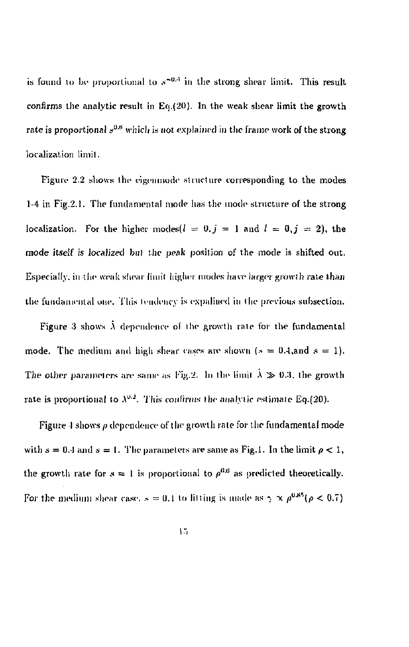is lound to be proportional to  $s^{-\nu}$  in the strong shear limit. This result confirms the analytic result in  $Eq.(20)$ . In the weak shear limit the growth rate is proportional  $s^{\omega,\omega}$  which is not explained in the frame work of the strong localization limit.

Figure 2.2 shows the cigenmode structure corresponding to the modes 1-4 in Fig.2.1. The fundamental mode has the mode structure of the strong localization. For the higher modes( $l = 0, j = 1$  and  $l = 0, j = 2$ ), the mode itself is localized but the peak position of the mode is shifted out. Especially, in the weak shear limit higher modes have larger growth rate than the fundamental one. This tendency is expalined in the previous subsection.

Figure 3 shows  $\lambda$  dependence of the growth rate for the fundamental mode. The medium and high shear cases are shown ( $s = 0.4$ ,and  $s = 1$ ). The other parameters are same as Fig.2. In the limit  $\lambda \gg 0.3$ , the growth rate is proportional to  $\lambda^{0.2}$ . This confirms the analytic estimate Eq.(20).

Figure 4 shows  $\rho$  dependence of the growth rate for the fundamental mode with  $s = 0.4$  and  $s = 1$ . The parameters are same as Fig.1. In the limit  $\rho < 1$ , the growth rate for  $s = 1$  is proportional to  $\rho^{0.6}$  as predicted theoretically. For the medium shear case.  $s = 0.1$  to litting is made as  $\gamma \propto \rho^{0.85} (\rho < 0.7)$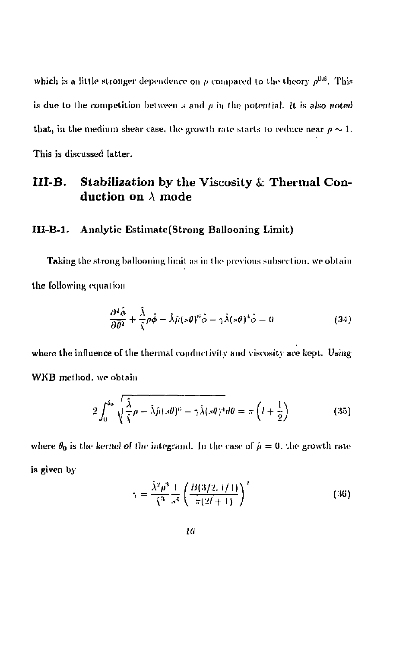which is a little stronger dependence on  $\rho$  compared to the theory  $\rho^{0.6}$ . This is due to the competition between  $s$  and  $\rho$  in the potential. It is also noted that, in the medium shear case, the growth rate starts to reduce near  $\rho \sim 1$ . This is discussed latter.

## III-B. Stabilization by the Viscosity *k,* Thermal Conduction on  $\lambda$  mode

#### III-B-1. Analytic Estimate(Strong Ballooning Limit)

Taking the strong ballooning limit as in the previous subsection, we obtain the following equation

$$
\frac{\partial^2 \hat{\phi}}{\partial \hat{\theta}^2} + \frac{\hat{\lambda}}{\hat{\lambda}} \rho \hat{\phi} - \hat{\lambda} \hat{\mu} (s \theta)^2 \hat{\phi} - \gamma \hat{\lambda} (s \theta)^4 \hat{\phi} = 0
$$
\n(34)

where the influence of the thermal conductivity and viscosity are kept. Using WKB method, we obtain

$$
2\int_0^{\theta_0} \sqrt{\frac{\hat{\lambda}}{\hat{\lambda}}\rho - \hat{\lambda}\hat{\mu}(s\theta)^6 - \gamma \hat{\lambda}(s\theta)^4} d\theta = \pi \left(l + \frac{1}{2}\right) \tag{35}
$$

where  $\theta_0$  is the kernel of the integrand. In the case of  $\hat{\mu} = 0$ , the growth rate is given by

$$
\gamma = \frac{\hat{\lambda}^2 \rho^3}{\hat{\lambda}^3} \frac{1}{s^3} \left( \frac{B(3/2, 1/4)}{\pi (2l + 1)} \right)^t \tag{36}
$$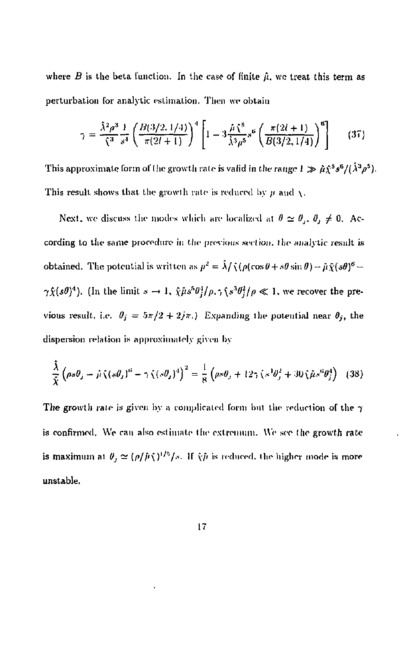where  $B$  is the beta function. In the case of finite  $\hat{\mu}$ , we treat this term as perturbation for analytic estimation. Then we obtain

$$
\gamma = \frac{\hat{\lambda}^2 \rho^3}{\hat{\zeta}^3} \frac{1}{s^4} \left( \frac{B(3/2, 1/4)}{\pi (2l+1)} \right)^4 \left[ 1 - 3 \frac{\hat{\mu} \, \zeta^5}{\hat{\lambda}^3 \rho^5} s^6 \left( \frac{\pi (2l+1)}{B(3/2, 1/4)} \right)^6 \right] \tag{37}
$$

This approximate form of the growth rate is valid in the range  $I \gg \hat{\mu} \hat{\chi}^5 s^6/(\hat{\lambda}^3 \rho^5)$ . This result shows that the growth rate is reduced by  $\mu$  and  $\chi$ .

Next, we discuss the modes which are localized at  $\theta \simeq \theta_i$ ,  $\theta_j \neq 0$ . According to the same procedure in the previous section, the analytic result is obtained. The potential is written as  $p^2 = \lambda / \hat{\chi}(\rho(\cos\theta + s\theta\sin\theta) - \hat{\mu}\hat{\chi}(s\theta)^6 \gamma \hat{\chi} (s\theta)^4$ ). (In the limit  $s \to 1$ ,  $\hat{\chi} \hat{\mu} s^5 \theta^4 / \rho$ ,  $\gamma \hat{\chi} s^3 \theta^2 / \rho \ll 1$ , we recover the previous result, i.e.  $\theta_i = 5\pi/2 + 2i\pi$ .) Expanding the potential near  $\theta_i$ , the dispersion relation is approximately given by

$$
\frac{\hat{\lambda}}{\hat{\chi}}\left(\rho s\theta_j - \hat{\mu}\left(\left(s\theta_j\right)^a - \gamma\left(\left(s\theta_j\right)^i\right)^2\right) = \frac{1}{8}\left(\rho s\theta_j + 12\gamma\left(s^2\theta_j^2 + 30\right)\hat{\mu} s^0\theta_j^4\right) \tag{38}
$$

The growth rate is given by a complicated form but the reduction of the  $\gamma$ is confirmed. We can also estimate the extremum. We see the growth rate is maximum at  $\theta_i \simeq (\rho/\tilde{\mu}\hat{\chi})^{1/5}/s$ . If  $\hat{\chi}\tilde{\mu}$  is reduced, the higher mode is more unstable.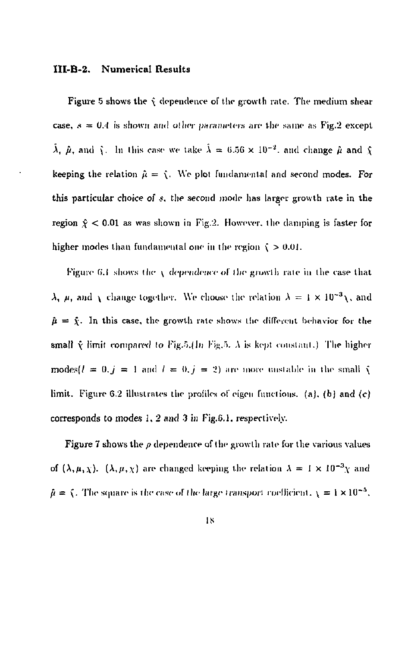#### **IILB-2. Numerical Results**

Figure 5 shows the  $\hat{y}$  dependence of the growth rate. The medium shear case,  $s = 0.4$  is shown and other parameters are the same as Fig.2 except  $\tilde{\lambda}$ ,  $\hat{\mu}$ , and  $\tilde{\chi}$ . In this case we take  $\tilde{\lambda} = 6.56 \times 10^{-2}$ , and change  $\hat{\mu}$  and  $\tilde{\chi}$ keeping the relation  $\hat{\mu} = \hat{\chi}$ . We plot fundamental and second modes. For this particular choice of s, the second mode has larger growth rate in the region  $\hat{x}$  < 0.01 as was shown in Fig.2. However, the damping is faster for higher modes than fundamental one in the region  $\zeta > 0.01$ .

Figure 6.1 shows the  $\chi$  dependence of the growth rate in the case that  $\lambda$ , *u*, and *y* change together. We choose the relation  $\lambda = 1 \times 10^{-3}$  and  $\hat{\mu} = \hat{\chi}$ . In this case, the growth rate shows the different behavior for the small  $\hat{\chi}$  limit compared to Fig.5.(In Fig.5.  $\lambda$  is kept constant.) The higher modes( $l = 0, j = 1$  and  $l = 0, j = 2$ ) are more unstable in the small  $\hat{\chi}$ limit. Figure 6.2 illustrates the profiles of eigen functions. (a), (b) and  $(c)$ corresponds to modes 1, 2 and 3 in Fig.6.1, respectively.

**Figure 7** shows the  $\rho$  dependence of the growth rate for the various values of  $(\lambda, \mu, \chi)$ .  $(\lambda, \mu, \chi)$  are changed keeping the relation  $\lambda = 1 \times 10^{-3} \chi$  and  $\hat{\mu} = \hat{\chi}$ . The square is the case of the large transport coefficient,  $\chi = 1 \times 10^{-5}$ ,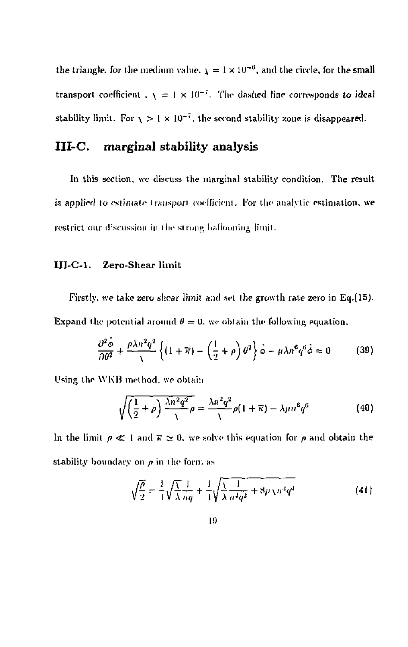the triangle, for the medium value.  $\chi = 1 \times 10^{-6}$ , and the circle, for the small transport coefficient .  $\chi = 1 \times 10^{-7}$ . The dashed line corresponds to ideal stability limit. For  $\chi > 1 \times 10^{-7}$ , the second stability zone is disappeared.

## III-C. marginal stability analysis

In this section, we discuss the marginal stability condition. The result is applied to estimate transport coefficient. For the analytic-estimation, we restrict our discussion in the strong ballooning limit.

## III-C-1. Zero-Shear limit

Firstly, we take zero shear limit and set the growth rate zero in Eq.(15). Expand the potential around  $\theta = 0$ , we obtain the following equation.

$$
\frac{\partial^2 \hat{\phi}}{\partial \theta^2} + \frac{\rho \lambda n^2 q^2}{\lambda} \left\{ (1 + \overline{\kappa}) - \left( \frac{1}{2} + \rho \right) \theta^2 \right\} \hat{\phi} - \mu \lambda n^6 q^6 \hat{\phi} = 0 \tag{39}
$$

Using the WKB method, we obtain

$$
\sqrt{\left(\frac{1}{2}+\rho\right)\frac{\lambda n^2 q^2}{\lambda}}\rho = \frac{\lambda n^2 q^2}{\lambda}\rho(1+\overline{\kappa}) - \lambda\mu n^6 q^6\tag{40}
$$

In the limit  $p \ll 1$  and  $\bar{r} \approx 0$ , we solve this equation for *p* and obtain the stability boundary on *p* in the form ns

$$
\sqrt{\frac{\rho}{2}} = \frac{1}{4} \sqrt{\frac{\chi}{\lambda}} \frac{1}{nq} + \frac{1}{4} \sqrt{\frac{\chi}{\lambda}} \frac{1}{n^2 q^2} + 8\mu \chi n^4 q^4
$$
 (41)

$$
_{\rm 19}
$$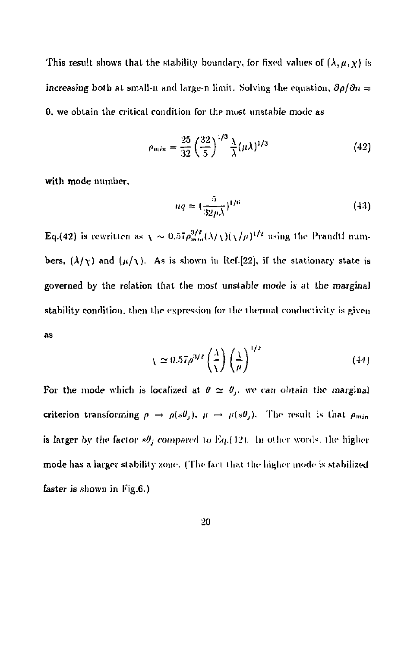This result shows that the stability boundary, for fixed values of  $(\lambda,\mu,\chi)$  is increasing both at small-n and large-n limit. Solving the equation,  $\partial \rho / \partial n =$ 0. we obtain the critical condition for the most unstable mode as

$$
\rho_{min} = \frac{25}{32} \left(\frac{32}{5}\right)^{1/3} \frac{\lambda}{\lambda} (\mu \lambda)^{1/3} \tag{42}
$$

with mode number.

$$
nq \approx \left(\frac{5}{32\mu\lambda}\right)^{1/6} \tag{43}
$$

 $\frac{1}{\sqrt{2}}$  is rewritten a.s  $\frac{1}{\sqrt{2}}$  is  $\frac{1}{\sqrt{2}}$  *limitively*  $\frac{1}{\sqrt{2}}$  is  $\frac{1}{\sqrt{2}}$  is  $\frac{1}{\sqrt{2}}$ bers,  $(\lambda/\gamma)$  and  $(\mu/\gamma)$ . As is shown in Ref.[22], if the stationary state is governed by the relation that the most unstable mode is at Ihe marginal stability condition, then the expression for the thermal rowluctivity is given as

$$
\chi \simeq 0.57 \rho^{3/2} \left(\frac{\lambda}{\chi}\right) \left(\frac{\chi}{\mu}\right)^{1/2} \tag{44}
$$

For the mode which is localized at  $\theta \simeq \theta_j$ , we can obtain the marginal criterion transforming  $\rho \rightarrow \rho(s\theta_j)$ ,  $\mu \rightarrow \mu(s\theta_j)$ . The result is that  $\rho_{min}$ is larger by the factor  $s\theta_j$  compared to Eq.(12). In other words, the higher mode has a larger stability zone. (The fact that the higher mode is stabilized faster is shown in Fig.6.)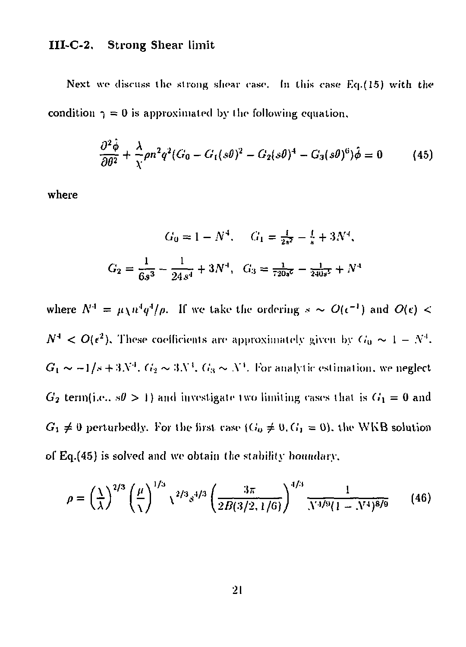## **III-C-2. Strong Shear limit**

Next we discuss the strong shear case. In this case Eq.(15) with the condition  $\gamma = 0$  is approximated by the following equation,

$$
\frac{\partial^2 \dot{\phi}}{\partial \theta^2} + \frac{\lambda}{\chi} \rho n^2 q^2 (G_0 - G_1(s\theta)^2 - G_2(s\theta)^4 - G_3(s\theta)^6) \dot{\phi} = 0 \tag{45}
$$

where

$$
G_0 = 1 - N^4, \quad G_1 = \frac{1}{2s^2} - \frac{1}{s} + 3N^4,
$$
  

$$
G_2 = \frac{1}{6s^3} - \frac{1}{24s^4} + 3N^4, \quad G_3 = \frac{1}{720s^2} - \frac{1}{240s^2} + N^4
$$

where  $N^* = \mu \chi n^* q^* / \rho$ . If we take the ordering  $s \sim O(\epsilon^{-1})$  and  $O(\epsilon) < \rho$  $N^4 < O(\epsilon^2)$ , These coefficients are approximately given by  $G_0 \sim 1 - N^4$ .  $G_1 \thicksim -1/s + 3N'.$   $G_2 \thicksim 3N'.$   $G_3 \thicksim N'.$  For analytic estimation, we neglect  $G_2$  term(i.e.,  $s\theta > 1$ ) and investigate two limiting cases that is  $G_1 = 0$  and  $G_1 \neq 0$  perturbedly. For the first case  $(G_0 \neq 0, G_1 = 0)$ , the WKB solution of  $Eq.(45)$  is solved and we obtain the stability boundary.

$$
\rho = \left(\frac{\lambda}{\lambda}\right)^{2/3} \left(\frac{\mu}{\lambda}\right)^{1/3} \sqrt{2/3} s^{4/3} \left(\frac{3\pi}{2B(3/2, 1/6)}\right)^{4/3} \frac{1}{\sqrt{3/9}(1 - \sqrt{3/9})^{8/9}} \tag{46}
$$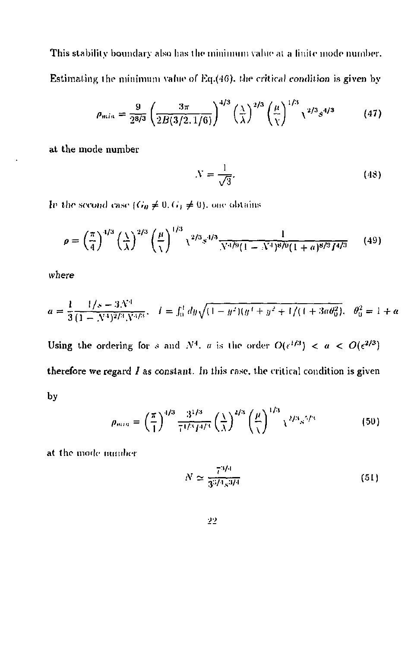This stability boundary also has the minimum value at a finite mode number. Estimating the minimum value of Eq.(46), the critical condition is given by

$$
\rho_{min} = \frac{9}{2^{8/3}} \left( \frac{3\pi}{2B(3/2, 1/6)} \right)^{4/3} \left( \frac{\lambda}{\lambda} \right)^{2/3} \left( \frac{\mu}{\chi} \right)^{1/3} \chi^{2/3} s^{4/3} \tag{47}
$$

at the mode number

$$
N = \frac{1}{\sqrt{3}}.\tag{48}
$$

In the second case  $(G_0 \neq 0, G_1 \neq 0)$ , one obtains

$$
\rho = \left(\frac{\pi}{4}\right)^{4/3} \left(\frac{\lambda}{\lambda}\right)^{2/3} \left(\frac{\mu}{\lambda}\right)^{1/3} \chi^{2/3} s^{4/3} \frac{1}{N^{4/9} (1 - N^4)^8 / 9} (1 + a)^{8/3} I^{4/3}
$$
(49)

$$
a = \frac{1}{3} \frac{1/s - 3N^4}{(1 - N^4)^{2/3} N^{4/3}}, \quad l = \int_0^t dy \sqrt{(1 - y^2)(y^4 + y^2 + 1/(1 + 3a\theta_0^2)}, \quad \theta_0^2 = 1 + a
$$

Using the ordering for s and  $N^4$ , a is the order  $O(\epsilon^{1/3}) < a < O(\epsilon^{2/3})$ therefore we regard  $I$  as constant. In this rase, the critical condition is given by

$$
\rho_{min} = \left(\frac{\pi}{1}\right)^{4/3} \frac{3^{1/3}}{7^{1/3} f^{4/3}} \left(\frac{1}{\lambda}\right)^{4/3} \left(\frac{\mu}{\lambda}\right)^{1/3} \chi^{2/3} s^{5/3} \tag{50}
$$

at the mode number

$$
N \simeq \frac{7^{3/4}}{3^{3/4}s^{3/4}}
$$
 (51)

$$
_{22}
$$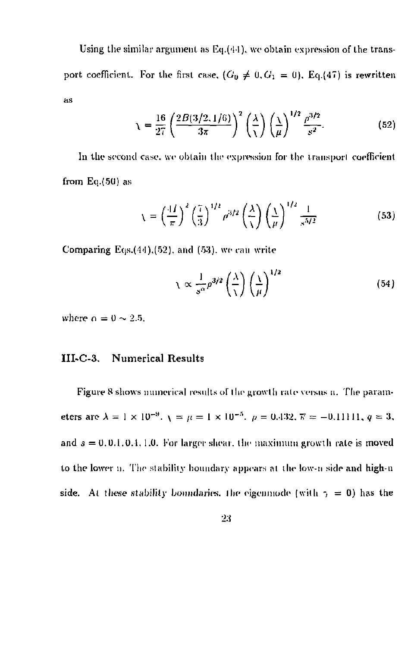Using the similar argument as  $Eq.(44)$ , we obtain expression of the transport coefficient. For the first case,  $(G_0 \neq 0, G_1 = 0)$ , Eq.(47) is rewritten as

$$
\chi = \frac{16}{27} \left( \frac{2B(3/2,1/6)}{3\pi} \right)^2 \left( \frac{\lambda}{\chi} \right) \left( \frac{\lambda}{\mu} \right)^{1/2} \frac{\rho^{3/2}}{s^2}.
$$
 (52)

In the second case, we obtain the expression For the transport coefficient from Eq.(5U) as

$$
\chi = \left(\frac{4I}{\pi}\right)^2 \left(\frac{7}{3}\right)^{1/2} \rho^{3/2} \left(\frac{\lambda}{\chi}\right) \left(\frac{\chi}{\mu}\right)^{1/2} \frac{1}{s^{5/2}}\tag{53}
$$

Comparing Eqs. $(44)$ , $(52)$ , and  $(53)$ , we can write

$$
\chi \propto \frac{1}{s^{\alpha}} \rho^{3/2} \left(\frac{\lambda}{\lambda}\right) \left(\frac{\lambda}{\mu}\right)^{1/2} \tag{54}
$$

where  $\rho = 0 \sim 2.5$ .

#### **III-C-3. Numerical Results**

Figure 8 shows numerical results of the growth rale versus n. The parameters are  $\lambda = 1 \times 10^{-9}$ ,  $\lambda = \mu = 1 \times 10^{-9}$ ,  $\rho = 0.132$ ,  $\overline{\kappa} = -0.11111$ ,  $q = 3$ , and  $s = 0, 0.1, 0.4, 1.0$ . For larger shear, the maximum growth rate is moved to the lower n. The stability boundary appears at the low-n side and high-n side. At these stability boundaries, the eigenmode (with  $\gamma = 0$ ) has the

2:J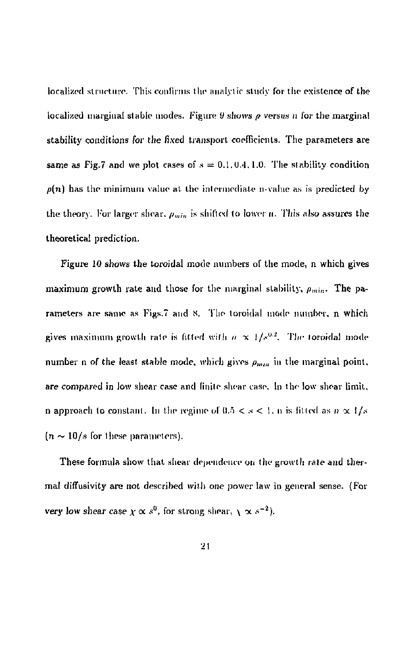localized structure. This confirms the analytic study for the existence of the localized marginal stable modes. Figure *i)* shows *p* versus 11 for the marginal stability conditions for the fixed transport coefficients. The parameters are same as Fig.7 and we plot cases of  $s = 0.1, 0.4, 1.0$ . The stability condition  $p(n)$  has the minimum value at the intermediate n-value as is predicted by the theory. For larger shear,  $p_{min}$  is shifted to lower *n*. This also assures the theoretical prediction.

Figure 10 shows the toroidal mode numbers of the mode, n which gives maximum growth rate and those for the marginal stability,  $\rho_{min}$ . The parameters are same as Figs.7 and 8. The toroidal mode number, n which gives maximum growth rate is fitted with  $n \propto 1/s^{0.2}$ . The toroidal mode number n of the least stable mode, which gives  $\rho_{max}$  in the marginal point, are compared in low shear case and linite shear case. In the low shear limit, n approach to constant. In the regime of  $0.5 < s < 1$ , n is fitted as  $n \propto 1/s$ .  $(n \sim 10/s$  for these parameters).

These formula show that shear dependence on the growth rate and thermal diffusivity are not described with *one* power law in general sense. (For very low shear case  $\chi \propto s^0$ , for strong shear,  $\chi \propto s^{-2}$ ).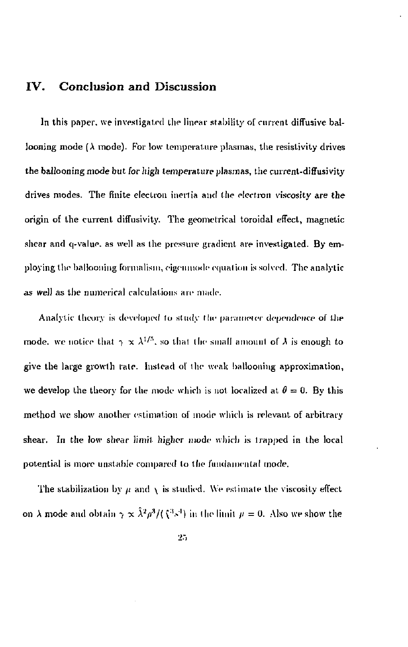## IV. Conclusion and Discussion

In this paper, we investigated the linear stability of current diffusive ballooning mode ( $\lambda$  mode). For low temperature plasmas, the resistivity drives the ballooning mode but for high temperature *plasmas,* the current-difFusivity drives modes. The finite electron inertia and the electron viscosity are the origin of the current diffusivity. The geometrical toroidal effect, magnetic shear and q-value, as well as the pressure gradient are investigated. By employing the ballooning formalism, eigenmode equation is solved. The analytic as well as the numerical calculations are made.

Analytic theory is developed to study the parameter dependence of the mode, we notice that  $\gamma \propto \lambda^{1/3}$ , so that the small amount of  $\lambda$  is enough to give the large growth rale. Instead of the weak ballooning approximation, we develop the theory for the mode which is not localized at  $\theta = 0$ . By this method we show another estimation of mode which is relevant of arbitrary shear, In the low shear limit higher mode which is trapped in the local potential is more unstable compared to the fundamental mode.

The stabilization by  $\mu$  and  $\chi$  is studied. We estimate the viscosity effect on  $\lambda$  mode and obtain  $\gamma \propto \lambda^2 \rho^3/(\xi^3 s^3)$  in the limit  $\mu = 0$ . Also we show the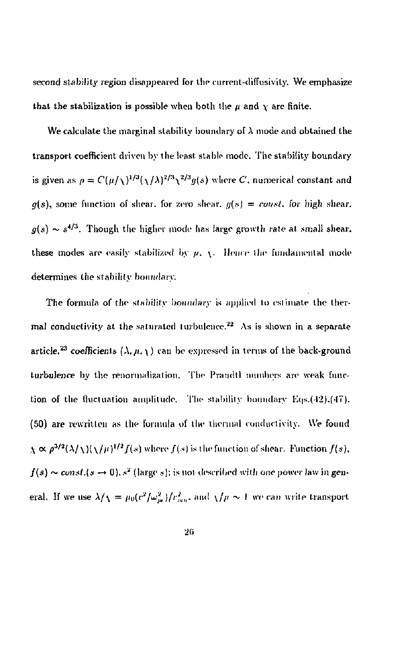second stability region disappeared for the current-diffusivity. We emphasize that the stabilization is possible when both the  $\mu$  and  $\chi$  are finite.

We calculate the marginal stability boundary of  $\lambda$  mode and obtained the transport coefficient driven by the least stable mode. The stability boundary is given as  $\rho = C(\mu/\sqrt{N})^{2/3}(\sqrt{A})^{2/3}$  where C, numerical constant and  $g(s)$ , some function of shear, for zero shear,  $g(s) = \text{const.}$  for high shear.  $g(s) \sim s^{4/3}$ . Though the higher mode has large growth rate at small shear, these modes are easily stabilized by  $\mu$ ,  $\chi$ . Hence the fundamental mode determines the stability boundary.

The formula of the stability boundary is applied to estimate the thermal conductivity at the saturated turbulence.<sup>22</sup> As is shown in a separate article,<sup>23</sup> coefficients  $(\lambda, \mu, \chi)$  can be expressed in terms of the back-ground turbulence by the renormalization. The Prandtl numbers are weak function of the fluctuation amplitude. The stability boundary Eqs.(42).(47). (50) are rewritten as the formula of the thermal conductivity. We found  $\chi \propto \rho^{3/2} (\lambda/\chi) (\chi/\mu)^{1/2} f(s)$  where  $f(s)$  is the function of shear. Function  $f(s)$ ,  $f(s) \sim const. (s \to 0)$ ,  $s^2$  (large  $s$ ); is not described with one power law in general. If we use  $\lambda/\sqrt{I} = \mu_0(c^2/\omega_m^2)/r_{mn}^2$ , and  $\sqrt{\mu} \sim 1$  we can write transport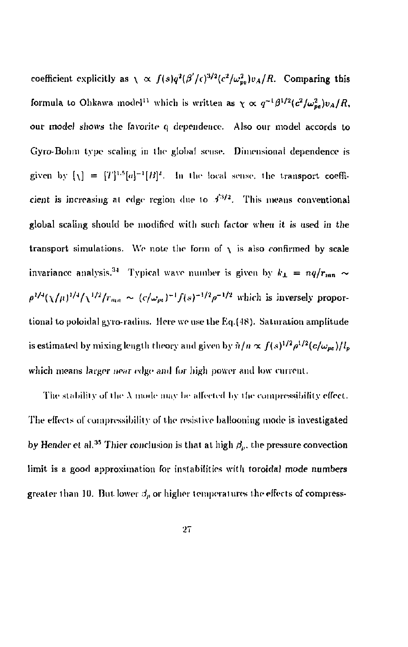coefficient explicitly as  $\chi \propto f(s)q^2(\beta'/c)^{3/2}(c^2/\omega_{w}^2)v_A/R$ . Comparing this formula to Ohkawa model<sup>11</sup> which is written as  $\gamma \propto q^{-1} \beta^{1/2} (c^2/\omega_{ps}^2) v_A/R$ , our *model* shows the favorite q dependence. Also our model accords to Gyro-Bohm type scaling in llie global souse. Dimensional dependence is given by  $[\chi] = [T]^{1.5}[a]^{-1}[B]^2$ . In the local sense, the transport coefficient is increasing al edge region due lo *i^ <sup>2</sup> .* This means conventional global scaling should be modified with such factor when it is used in the transport simulations. We note the form of  $\chi$  is also confirmed by scale invariance analysis.<sup>34</sup> Typical wave number is given by  $k_1 = nq/r_{mn} \sim$  $\rho^{1/4}$ ( $\chi$ / $\mu$ )<sup>1/4</sup>/ $\chi^{1/2}$ / $r_{\text{max}} \sim (c/\omega_m)^{-1} f(s)^{-1/2} \rho^{-1/2}$  which is inversely proportional to poloidal gyro-radius. Here we use the Eq.(48). Saturation amplitude is estimated by mixing length theory and given by  $\hat{n}/n \propto f(s)^{1/2} \rho^{1/2} (c/\omega_{\text{max}})/l_{\text{max}}$ which means larger near edge and *\'ov* high power and low current.

The stability of the  $\lambda$  mode may be affected by the compressibility effect. The effects of compressibility of the resistive ballooning mode is investigated by Hender et al.<sup>35</sup> Thier conclusion is that at high  $\beta_n$ , the pressure convection limit is a good approximation for instabilities with toroidal mode numbers greater than 10. But lower  $\beta_p$  or higher temperatures the effects of compress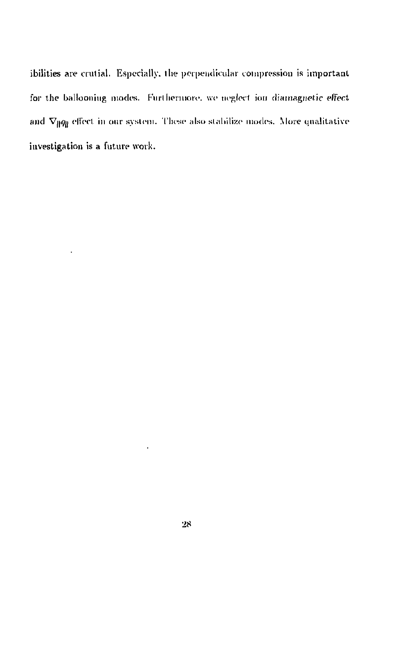ibilities are crutial. Especially, llie perpendicular compression is important for the ballooning modes. Furthermore, we neglect ion diamagnetic effect and  $\nabla_{\parallel}q_{\parallel}$  effect in our system. These also stabilize modes. More qualitative investigation is a future work.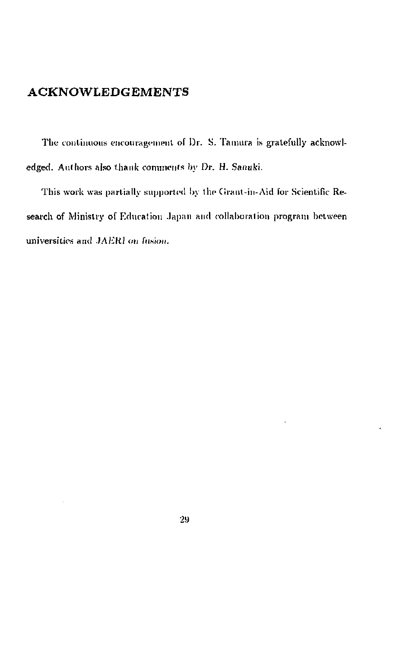## ACKNOWLEDGEMENTS

The continuous encouragement of Dr. S. Tamura is gratefully acknowledged. Authors also thank comments by *Dv.* H. Sanuki.

This work was partially supported by the Cirant-in-Aid for Scientific Research of Ministry of Education Japan and collaboration program between universities and JAERI on fusion.

**2M**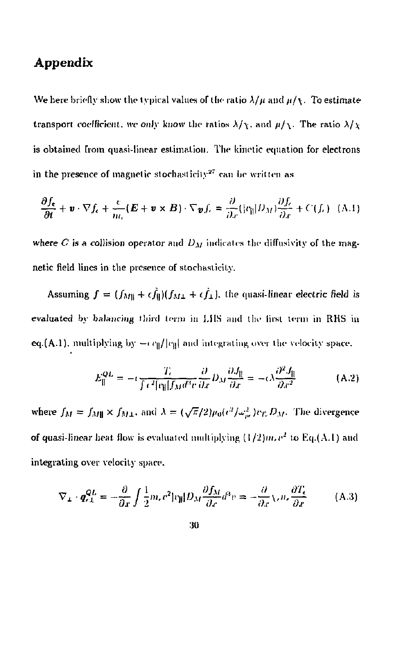## Appendix

We here briefly show the typical values of the ratio  $\lambda/\mu$  and  $\mu/\chi$ . To estimate transport coefficient, we only know the ratios  $\lambda/\chi$ , and  $\mu/\chi$ . The ratio  $\lambda/\chi$ is obtained from quasi-linear estimation. The kinetic equation for electrons in the presence of magnetic stochasticity $^{27}$  can be written as

$$
\frac{\partial f_{\epsilon}}{\partial t} + \mathbf{v} \cdot \nabla f_{\epsilon} + \frac{\epsilon}{m_{\epsilon}} (\mathbf{E} + \mathbf{v} \times \mathbf{B}) \cdot \nabla \mathbf{v} f_{\epsilon} = \frac{\partial}{\partial x} (|c_{\parallel}| D_M) \frac{\partial f_{\epsilon}}{\partial x} + C(f_{\epsilon}) \quad (A.1)
$$

where  $C$  is a collision operator and  $D_M$  indicates the diffusivity of the magnetic field lines in the presence of stochasticily.

Assuming  $f = (f_{M\parallel} + \epsilon \hat{f}_{\parallel})(f_{M\perp} + \epsilon \hat{f}_{\perp})$ , the quasi-linear electric field is evaluated by balancing third term in IJIS and. the iirsi term in RHS in eq.(A.1). multiplying by  $-e\eta/|e_{\parallel}|$  and integrating over the velocity space.

$$
E_{\parallel}^{QL} = -i \frac{T_c}{\int \tau^2 [c_{\parallel}][f_M d^3 v]} \frac{\partial}{\partial x} D_M \frac{\partial J_{\parallel}}{\partial x} = -\epsilon \lambda \frac{\partial^2 J_{\parallel}}{\partial x^2}
$$
 (A.2)

where  $f_M = f_{M\parallel} \times f_{M\perp}$ , and  $\lambda = (\sqrt{\pi}/2)\mu_0(c^2/\omega_{pe}^2)v_T, D_M$ . The divergence of quasi-linear heat flow is evaluated multiplying  $(1/2)m,e^2$  to Eq.(A.1) and integrating over velocity space.

$$
\nabla_{L} \cdot \boldsymbol{q}_{rL}^{QL} = -\frac{\partial}{\partial x} \int \frac{1}{2} m_r v^2 |v_{ij}| D_M \frac{\partial f_M}{\partial x} d^3 v = -\frac{\partial}{\partial x} \sqrt{n_r} \frac{\partial T_s}{\partial x}
$$
(A.3)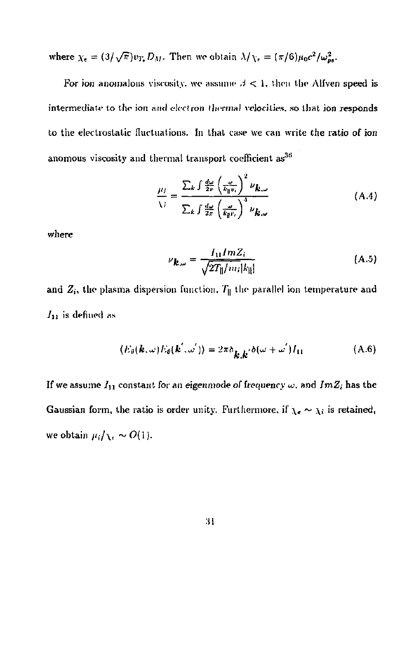where  $\chi_{\epsilon} = (3/\sqrt{\pi})v_{T_{\epsilon}}D_M$ . Then we obtain  $\lambda/\chi_{\epsilon} = (\pi/6)\mu_0 c^2/\omega_{pe}^2$ .

For ion anomalous viscosity, we assume  $\beta < 1$ , then the Alfven speed is intermediate to the ion arid *electron thermal* velocities, so that ion responds to the electrostatic fluctuations. In that case we can write the ratio of ion anomous viscosity and thermal transport coefficient as<sup>36</sup>

$$
\frac{\mu_i}{\lambda_i} = \frac{\sum_k \int \frac{d\omega}{2\pi} \left(\frac{\omega}{k_1 w_i}\right)^2 \nu_{\mathbf{k}, \omega}}{\sum_k \int \frac{d\omega}{2\pi} \left(\frac{\omega}{k_1 w_i}\right)^4 \nu_{\mathbf{k}, \omega}} \tag{A.4}
$$

where

$$
\nu_{\mathbf{k},\omega} = \frac{I_{11}ImZ_i}{\sqrt{2T_{\parallel}/m_i|k_{\parallel}|}}\tag{A.5}
$$

and  $Z_i$ , the plasma dispersion function.  $T_{\parallel}$  the parallel ion temperature and  $I_{11}$  is defined as

$$
\langle E_{\theta}(\mathbf{k}, \omega) E_{\theta}(\mathbf{k}', \omega') \rangle = 2\pi \delta_{\mathbf{k}, \mathbf{k}'} \delta(\omega + \omega') I_{11}
$$
 (A.6)

If we assume *Iu* constant for *an* eigenmode *of* frequency w. and *ImZ;* has the Gaussian form, the ratio is order unity. Furthermore, if  $\chi_e \sim \chi_i$  is retained, we obtain  $\mu_i/\chi_i \sim O(1)$ .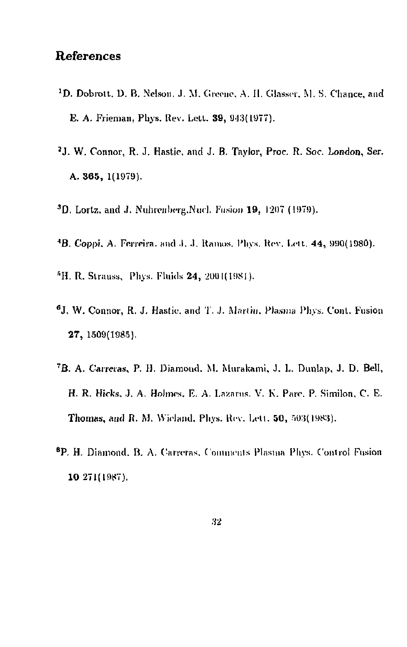## **References**

- **'D.** Dobrott. D. B. Nelson. J. M. Greene. A. II. Glasser. M. S. Chance, and E. A. Frieman, Pbys. Rev. Lett. 39, 943(1977).
- 2 J. W. Connor, R. J. Hastie. and J. B. Taylor, Proc. R. Soc. London, Ser. A. 365, 1(1979).
- $3D$ . Lortz, and J. Nuhrenberg.Nucl. Fusion 19, 1207 (1979).
- <sup>4</sup>B. Coppi. A. Ferreira. and J. J. Ramos. Phys. Rev. Lett. 44, 990(1980).
- <sup>5</sup>H. R. Strauss, Phys. Fluids 24, 2001(1981).
- 6 J. W. Connor, R. J. Hasfie. and T.*.}.* Mariiu. Plasma Phys. Conl. Fusion 27, 1509(1985).
- <sup>7</sup>B. A. Carreras, P. H. Diamond. M. Murakami. J. L. Dunlap, J. D. Bell, H. R. Hicks. J. A. Holmes. E. A. Lazarus. V. K. Pare. P. Similon, C. E. Thomas, and R. M. Wicland. Phys. Rev. Lett. 50, 503(1983).
- <sup>8</sup>P. H. Diamond, B. A. Carreras, Comments Plasma Phys. Control Fusion 10 271(1987).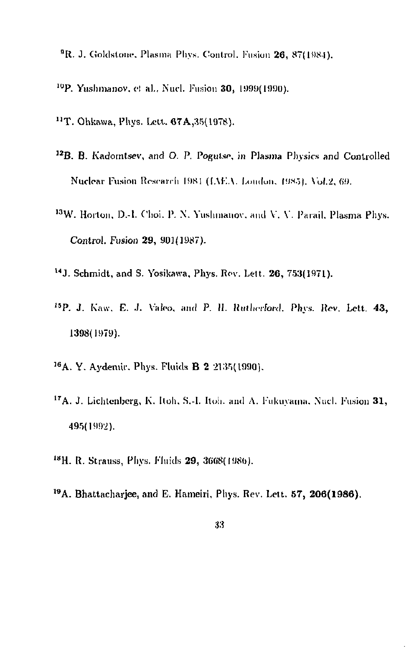- <sup>9</sup>R. J. Goldstone, Plasma Phys. Control. Fusion 26, 87(1984).
- <sup>10</sup>P. Yushmanov, et al., Nucl. Fusion 30, 1999(1990).
- <sup>11</sup>T. Ohkawa, Phys. Lett. 67A,35(1978).
- <sup>12</sup>B. B. Kadomtsev, and O. P. Pogutse, in Plasma Physics and Controlled Nuclear Fusion Research 1981 (IAEA, London. 1985). Vol.2, 69.
- <sup>13</sup>W. Horton, D.-l. Choi. P. N. Yushmanov, and V. V. Parail. Plasma Phys. Control. Fusion **29,** 901(1987).
- U J . Schmidt, and S. Yosikawa, Phys. Rov. Lett. 26 , 753(1971).
- <sup>15</sup>P. J. Kaw. E. J. Valeo, and P. II. Rutherford. Phys. Rev. Lett. 43, 1398(1979).
- <sup>16</sup> A. Y. Aydemir, Phys. Fluids **B 2** 2135(1990).
- $17A$ , J. Lichtenberg, K. Itoh, S.-I. Itoh. and A. Fukuvama, Nucl. Fusion 31, 495(1992).
- <sup>18</sup>H. R. Strauss, Phys. Fluids **29,** 3668(1986).
- <sup>19</sup>A. Bhattachariee, and E. Hameiri, Phys. Rev. Lett. 57, 206(1986).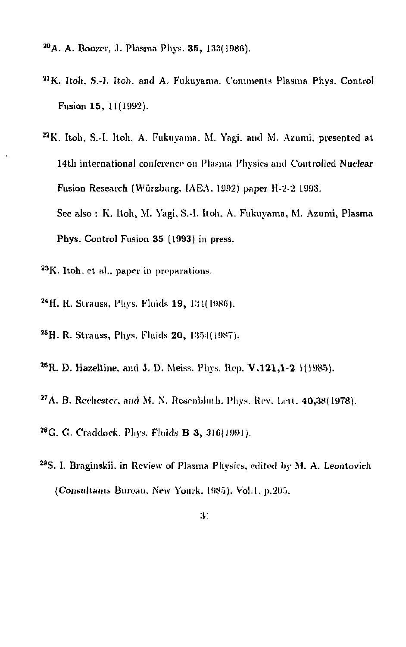- 2 °A. A. Boozer, J. Plasma Phys. 35 , 133(1986).
- <sup>21</sup> K. Itoh, S.-I. Itoh, and A. Fukuyama, Comments Plasma Phys. Control Fusion 15 , 11(1992).
- <sup>22</sup> K. Itoh, S.-I. Itoh, A. Fukuyama. M. Yagi. and M. Azumi. presented at 14th international conference on Plasma Physics ami Controlled Nuclear Fusion Research (Wurzburg, IAEA. 1992) paper 11-2-2 1993. See also : K. Itoli, M. Yagi, S.-I. Itoh, A. Fukuyama, M. Azumi, Plasma Phys. Control Fusion 35 (1993) in press.
- <sup>23</sup> K. Itoh, et al., paper in preparations.
- <sup>24</sup> H. R. Strauss, Phys. Fluids 19, 131(1986).
- <sup>25</sup> H. R. Strauss, Phys. Fluids **20**, 1354(1987).
- <sup>26</sup>R. D. Hazeltine. and J. D. Meiss. Phys. Rep. **V.121.1-2** 1(1985).
- $27A$ , B. Rechester, and M. N. Rosenblinh. Phys. Rev. Lett.  $40,38(1978)$ .
- <sup>28</sup> G. G. Craddock. Phys. Fluids **B 3**, 316(1991).
- <sup>29</sup> S. I. Braginskii, in Review of Plasma Physics, edited by M. A. Leontovich (Consultants Bureau, New Yourk. 1985). Vol.1. p.205.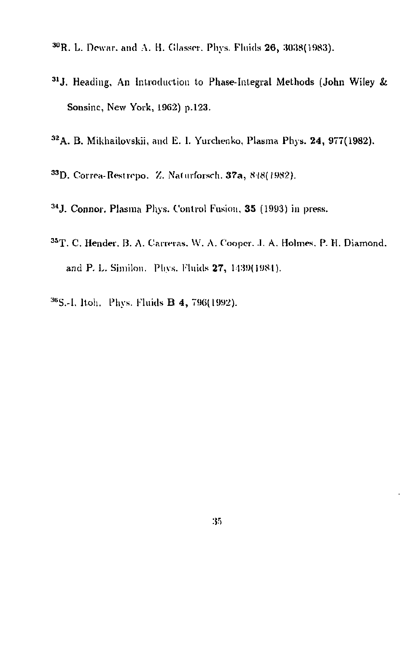- <sup>30</sup>R. L. Dewar, and A. H. Glasser, Phys. Fluids **26**, 3038(1983).
- <sup>31</sup> J. Heading, An Introduction to Phase-Integral Methods (John Wiley & Sonsinc, New York, 1962) p.123.
- <sup>32</sup>A. B. Mikhailovskii, and E. I. Yurchenko, Plasma Phys. 24, 977(1982).
- 33D. Correa-Restrepo. Z. Naturforsch. 37a, 848(1982).
- <sup>34</sup> J. Connor, Plasma Phys. Control Fusion, 35 (1993) in press.
- <sup>35</sup>T. C. Hender, B. A. Carreras, W. A. Cooper, J. A. Holmes, P. H. Diamond, and P. L. Similon. Phys. Fluids 27, 1439(1984).
- <sup>36</sup>S.-I, Itoh. Phys. Fluids **B 4, 796(1992)**.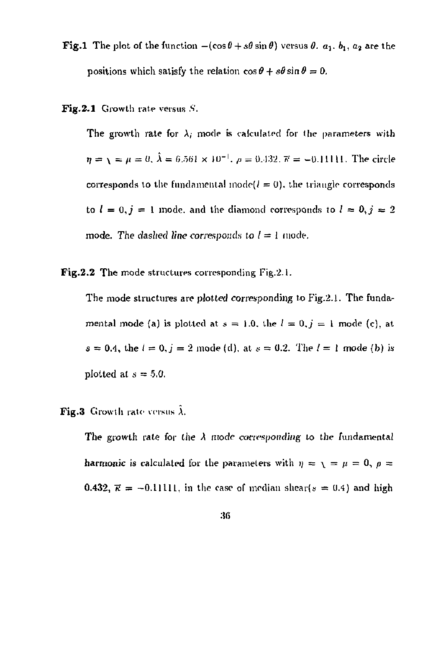**Fig.1** The plot of the function  $-(\cos\theta+s\theta\sin\theta)$  versus  $\theta$ .  $a_1$ ,  $b_1$ ,  $a_2$  are the positions which satisfy the relation  $\cos \theta + s\theta \sin \theta = 0$ .

**Fig.2.1** Growth rate versus *S.* 

The growth rate for  $\lambda_i$  mode is calculated for the parameters with  $\eta = \chi = \mu = 0, \lambda = 6.561 \times 10^{-1}, \rho = 0.432, \overline{\kappa} = -0.11111$ . The circle corresponds to the fundamental mode $(l = 0)$ , the triangle corresponds to  $l = 0, j = 1$  mode, and the diamond corresponds to  $l = 0, j = 2$ mode. The dashed line corresponds to  $l = 1$  mode.

**Fig.2.2** The mode structures corresponding Fig.2.1.

The mode structures are plotted corresponding to Fig.2.1. The fundamental mode (a) is plotted at  $s = 1.0$ , the  $l = 0, j = 1$  mode (c), at  $s = 0.4$ , the  $l = 0$ ,  $j = 2$  mode (d), at  $s = 0.2$ . The  $l = 1$  mode (b) is plotted at  $s = 5.0$ .

**Fig.3** Growth rate versus  $\hat{\lambda}$ .

The growth rate for the  $\lambda$  mode corresponding to the fundamental harmonic is calculated for the parameters with  $\eta = \sqrt{p} = \mu = 0$ ,  $\rho =$ 0.432,  $\vec{\kappa} = -0.11111$ , in the case of median shear( $s = 0.4$ ) and high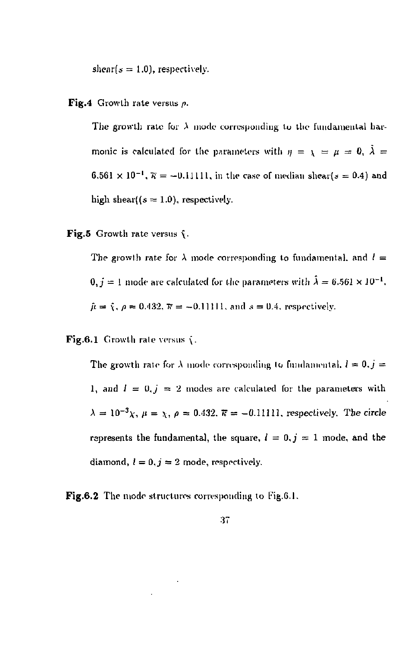shear( $s = 1.0$ ), respectively.

#### **Fig.4** Growth rate versus *p.*

The growth rate for  $\lambda$  mode corresponding to the fundamental harmonic is calculated for the parameters with  $\eta = \chi = \mu = 0$ ,  $\dot{\lambda} =$  $6.561 \times 10^{-1}$ ,  $\overline{\kappa} = -0.11111$ , in the case of median shear(s = 0.4) and high shear( $(s = 1.0)$ , respectively.

Fig.5 Growth rate versus  $\hat{\mathbf{y}}$ .

The growth rate for  $\lambda$  mode corresponding to fundamental, and  $l =$  $0, j = 1$  mode are calculated for the parameters with  $\lambda = 6.561 \times 10^{-1}$ ,  $\hat{\mu} = \hat{\chi}, \rho = 0.432, \bar{\kappa} = -0.11111$ , and  $s = 0.4$ , respectively.

Fig.6.1 Growth rate versus  $\langle$ .

The growth rate for  $\lambda$  mode corresponding to fundamental,  $l \approx 0, j =$ 1, and  $I = 0, j = 2$  modes are calculated for the parameters with  $\lambda = 10^{-3} \chi$ ,  $\mu = \chi$ ,  $\rho = 0.432$ .  $\bar{\kappa} = -0.11111$ , respectively. The circle represents the fundamental, the square,  $l = 0, j = 1$  mode, and the diamond,  $l = 0$ ,  $j = 2$  mode, respectively.

 ${\bf Fig. 6.2}$  The mode structures corresponding to Fig.6.1.

#### :J7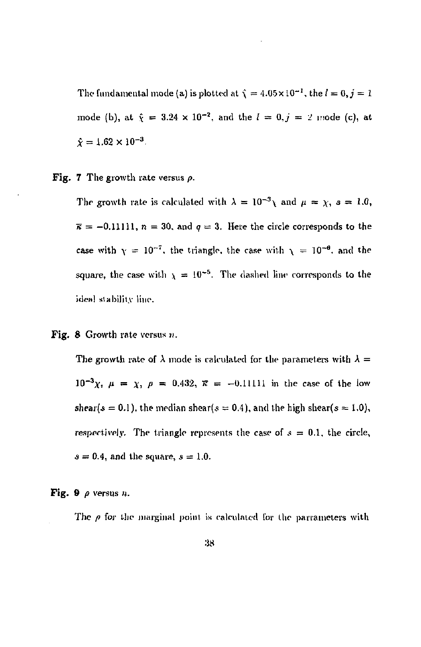The fundamental mode (a) is plotted at  $\hat{\chi} = 4.05 \times 10^{-1}$ , the  $l = 0, j = 1$ mode (b), at  $\hat{\chi} = 3.24 \times 10^{-2}$ , and the  $l = 0, j = 2$  mode (c), at  $\hat{\chi} = 1.62 \times 10^{-3}$ .

Fig. 7 The growth rate versus *p.* 

The growth rate is calculated with  $\lambda = 10^{-3} \lambda$  and  $\mu = \chi$ ,  $s = 1.0$ ,  $\bar{\kappa} = -0.11111$ ,  $n = 30$ , and  $q = 3$ . Here the circle corresponds to the case with  $\gamma = 10^{-7}$ , the triangle, the case with  $\gamma = 10^{-6}$ , and the square, the case with  $\chi = 10^{-5}$ . The dashed line corresponds to the ideal stability line.

#### Fig. 8 Growth rate versus  $n$ .

The growth rate of  $\lambda$  mode is calculated for the parameters with  $\lambda =$  $10^{-3}\chi$ ,  $\mu = \chi$ ,  $\rho = 0.432$ ,  $\bar{\kappa} = -0.11111$  in the case of the low shear(s = 0.1), the median shear(s = 0.4), and the high shear(s = 1.0), respectively. The triangle represents the case of  $s = 0.1$ , the circle,  $s = 0.4$ , and the square,  $s = 1.0$ .

Fig. 9 *p* versus *n.* 

The  $\rho$  for the marginal point is calculated for the parrameters with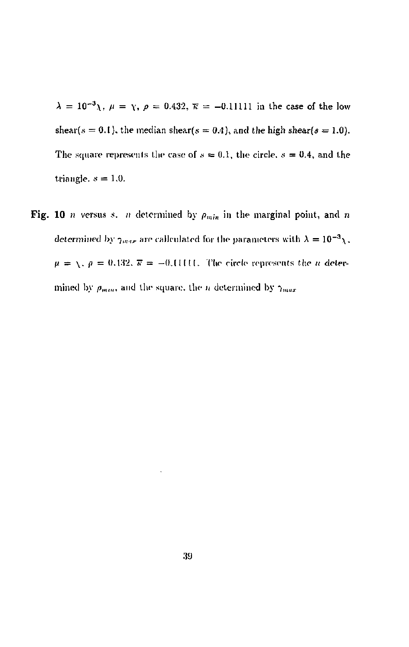$\lambda = 10^{-3}$   $\lambda$ ,  $\mu = \gamma$ ,  $\rho = 0.432$ ,  $\bar{\kappa} = -0.11111$  in the case of the low shear(s = 0.1), the median shear(s = 0.4), and the high shear(s = 1.0). The square represents the case of  $s = 0.1$ , the circle,  $s = 0.4$ , and the triangle.  $s = 1.0$ .

Fig. 10 *n* versus *s. n* determined by  $\rho_{min}$  in the marginal point, and *n* determined by  $\gamma_{max}$  are callculated for the parameters with  $\lambda = 10^{-3} \chi$ .  $\mu = \sqrt{2}$ ,  $\rho = 0.132$ ,  $\overline{\kappa} = -0.11111$ . The circle represents the *u* determined by  $\rho_{min}$ , and the square, the *n* determined by  $\gamma_{max}$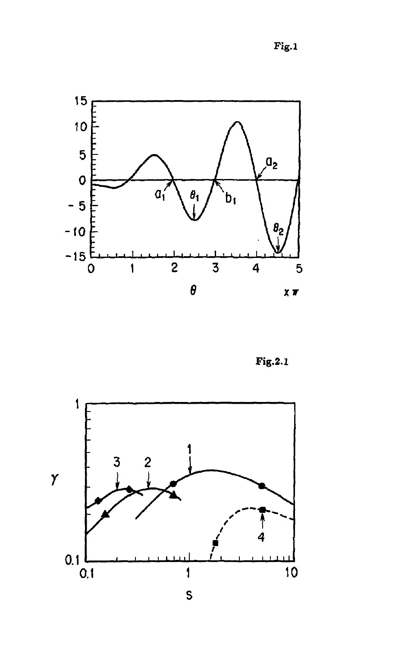**Fig.l** 



**Fig.2.1** 

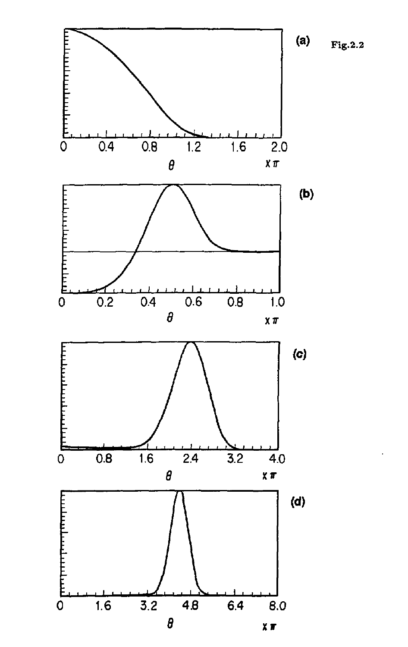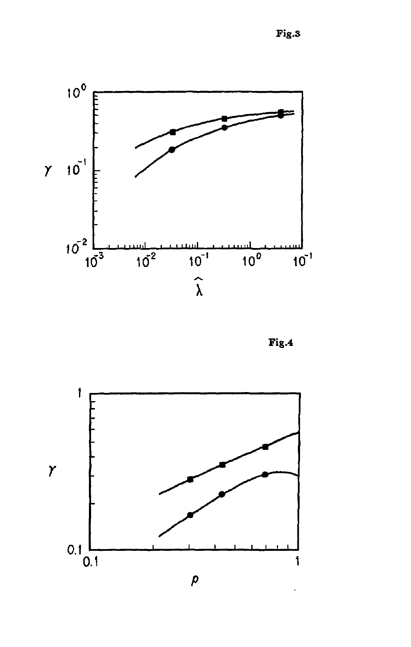Fig.3



 ${\bf Fig.4}$ 

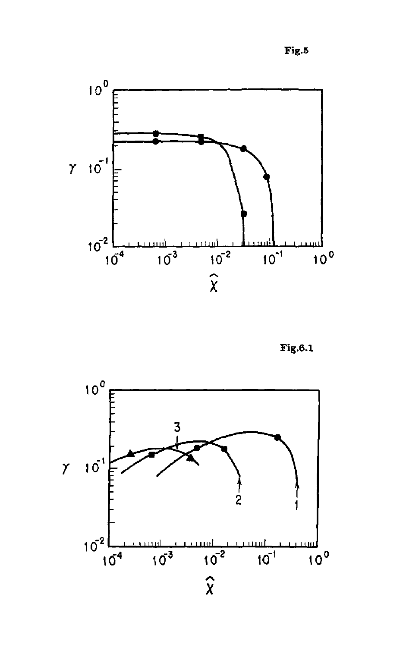**Fig.5** 



**Fig.6.1** 

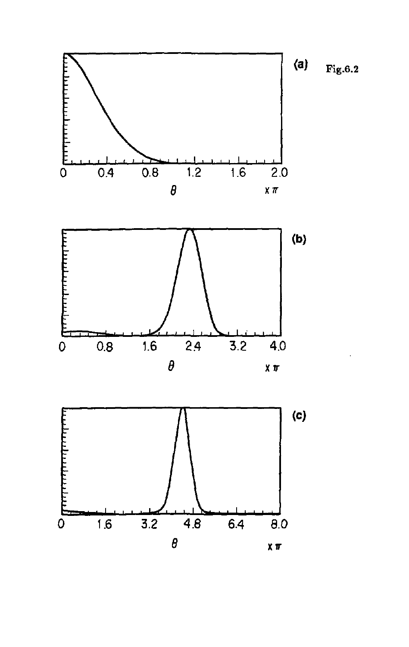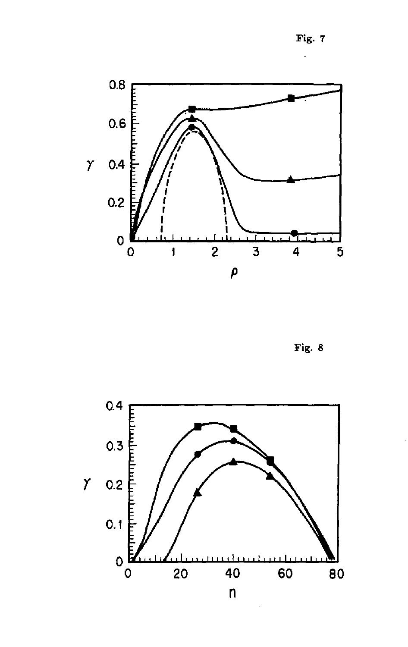Fig. 7



Fig. 8

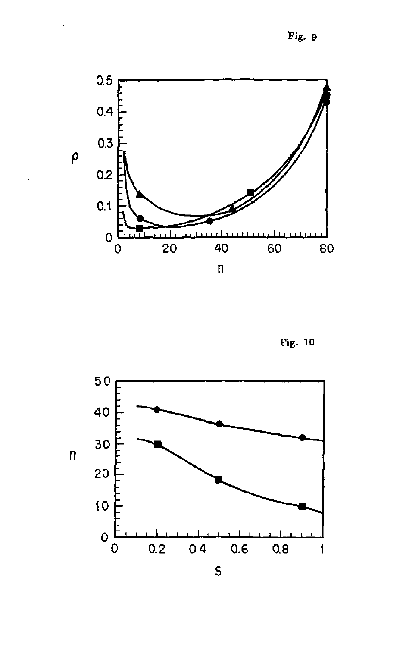Fig. 9



Fig. 10

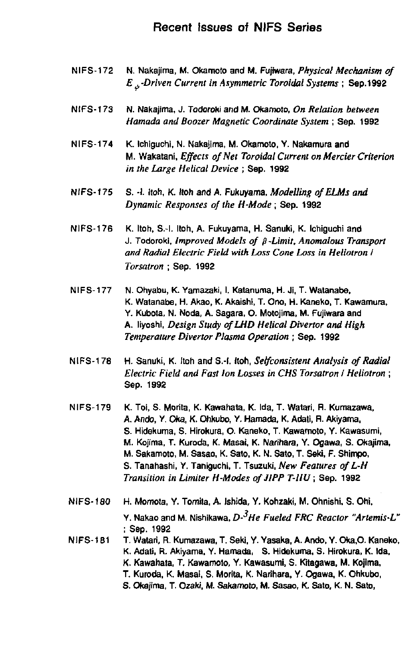## Recent Issues of NIFS Series

- NIFS-172 N. Nakajima, M. Okamoto and M. Fujtwara, *Physical Mechanism of E^-Driven Current in Asymmetric Toroidal Systems* ; Sep. 1992
- NIFS-173 N. Nakajima, J. Todoroki and M. Okamoto, *On Relation between Hamada and Boozer Magnetic Coordinate System* ; Sep. 1992
- **NIFS-174 K. Ichiguchi, N. Nakajima, M. Okamoto, Y. Nakamura and**  M. Wakatani, *Effects of Net Toroidal Current on Mercier Criterion in the Large Helical Device* ; Sep. 1992
- NIFS-175 S. -1. Itoh, K. Itoh and A. Fukuyama, Modelling of ELMs and *Dynamic Responses of the H-Mode;* Sep. 1992
- **NIFS-176 K. Itoh, S.-l. Itoh, A. Fukuyama, H. Sanuki, K. Ichiguchi and**  J. Todoroki, *Improved Models of {3 -Limit. Anomalous Transport and Radial Electric Field with Loss Cone Loss in Heliotron I Torsatron ;* Sep. 1992
- **NIFS-177 N. Ohyabu, K. Yamazaki, I. Katanuma, H. Ji, T. Watanabe,**  K. Watanabe, H. Akao, K. Akaishi, T. Ono, H. Kaneko, T. Kawamura, Y. Kubota, N. Noda, A. Sagara, O. Motojima, M. Fujiwara and A. liyoshi. *Design Study ofLHD Helical Divertor and High Temperature Divertor Plasma Operation •* Sep. 1992
- NIFS-178 H. Sanuki, K. Itoh and S.-l. Itoh, *Selfconsislent Analysis of Radial Electric Field and Fast Ion Losses in CHS Torsatron I Heliotron* ; Sep. 1992
- **NIFS-179 K. Toi, S. Morita, K. Kawahata, K. Ida, T. Watari, R. Kumazawa, A. Ando, Y. Oka, K. Ohkubo, Y. Hamada, K, Adati, R. Akiyama, S. Hidekuma, S. Hirokura, O. Kaneko, T. Kawamoto, Y. Kawasumi, M. Kojima, T. Kuroda, K. Masai, K. Narihara, Y. Ogawa, S. Okajima, M. Sakamoto, M. Sasao, K. Sato, K. N. Sato, T. Seki, F. Shimpo, S. Tanahashi, Y. Tankjuchi, T. Tsuzuki,** *New Features ofL-H Transition in Limiter H-Modes ofJIPP T-IIU* **; Sep. 1992**
- **NIFS-180 H. Momota, Y. Tomita, A. Ishida, Y. Kohzaki, M. Ohnishi, S. Ohi, Y. Nakao and M. Nishikawa,** *D-3He Fueled FRC Reactor "Artemis-L"*  **; Sep. 1992**
- **NIFS-181 T. Watari, R. Kumazawa. T. Seki, Y. Yasaka, A. Ando. Y. Oka,0. Kaneko. K. Adati, R. Akiyama, Y. Hamada, S. Hidekuma, S. Hirokura, K. Ida, K. Kawahata, T. Kawamoto, Y. Kawasumi, S. Kitagawa, M. Kojima, T. Kuroda, K. Masai, S. Morita, K. Narihara, Y. Ogawa, K. Ohkubo, S. Okajima, T. Ozaki, M. Sakamoto, M. Sasao, K. Sato, K. N. Sato,**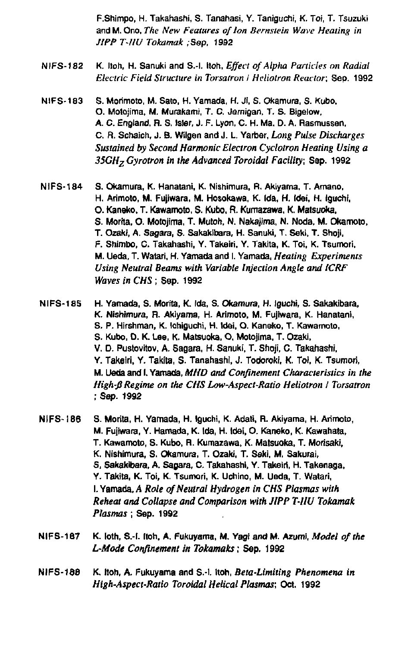**F.Shimpo, H. Takahashi, S. Tanahasi, Y. Taniguchi, K. Toi, T. Tsuzuki and M. Ono,** *The New Features of Ion Bernstein Wave Heating in JIPP T-IIU Tokamak* **/Sep, 1992** 

- **NIFS-182 K. Itoh, H. Sanukl and S.-l. Itoh,** *Effect of Alpha Panicles on Radial Electric Field Structure in Torsatron I Heliotron Reactor,* **Sep. 1992**
- **NIFS-183 S. Morimoto, M. Sato, H. Yamada, H. Ji, S. Okamura, S. Kubo, O. Motojima, M. Murakami, T. C. Jemigan, T. S. Bigelow, A. C. England, R. S. Isler, J. F. Lyon, C. H. Ma. D. A. Rasmussen, C. R. Schaich, J. B. Wilgen and J. L. Yarber,** *Long Pulse Discharges Sustained by Second Harmonic Electron Cyclotron Heating Using a 35CHzGyrotron in the Advanced Toroidal Facility;* **Sep. 1992**
- **NIFS-184 S. Okamura, K. Hanatani, K. Nishimura, R. Akiyama, T. Amano, H. Arimoto, M. Fujiwara, M. Hosokawa, K. Ida, H. Idei, H. Iguchi, 0. Kansko, T. Kawamoto, S. Kubo, R. Kumazawa, K. Matsuoka, S. Morita, O. Motojima, T. Mutoh, N. Nakajima, N. Noda, M. Okamoto. T. Ozaki, A. Sagara, S. Sakakibara, H. Sanuki, T. Seki. T. Shoji, F. Shimbo, 0. Takahashi, Y. Takeiri, Y. Takita, K. Toi, K. Tsumori. M. Ueda, T. Watari, H. Yamada and I. Yamada,** *Heating Experiments Using Neutral Beams with Variable Injection Angle and 1CRF Waves in CHS;* **Sep. 1992**
- **NIFS-185 H. Yamada, S. Morita, K. Ida, S. Okamura, H. Iguchi, S. Sakakibara, K. Nishimura, R. Akiyama, H. Arimoto, M. Fujiwara, K. Hanatani, S. P. Hirshman, K. Ichiguchi, H. Wei, O. Kaneko, T. Kawamoto, S. Kubo, D. K. Lee, K. Matsuoka, O, Motojima, T. Ozaki, V. D. Pustovitov, A. Sagara, H. Sanuki, T. Shoji. C. Takahashi, Y. Takeiri, Y. Takita, S. Tanahashi, J. Todoroki, K. Toi. K. Tsumori, M. Ueda and I. Yamada,** *MHD and Confinement Characteristics in the High-B Regime on the CHS Low-Aspect-Ratio Heliotron / Torsatron ;* **Sep. 1992**
- **NIFS- i 86 S. Morita, H. Yamada, H. Iguchi, K. Adati, R. Akiyama, H. Arimoto, M. Fujiwara, Y. Hamada, K. Ida, H. Idei, 0. Kaneko, K. Kawahata, T. Kawamoto, S. Kubo, R. Kumazawa, K. Matsuoka, T. Morisaki, K. Nishimura, S. Okamura, T. Ozaki, T. Seki, M. Sakurai, S, Sakakibara, A. Sagara, C. Takahashi, Y. Takeiri, H. Takenaga, Y. Takita, K. Toi, K. Tsumori, K. Uchino, M. Ueda, T. Watari, 1. Yamaoa,** *A Role of Neutral Hydrogen in CHS Plasmas with Reheat and Collapse and Comparison with JIPP T-IIU Tokamak Plasmas;* **Sep. 1992**
- **NIFS-187 K. loth, S.-l. Itoh, A. Fukuyama, M. Yagi and M. AzumI,** *Model of the L-Mode Confinement in Tokamaks***; Sep. 1992**
- **NIFS-188 K. Itoh, A. Fukuyama and S.-l. Itoh,** *Beta-Limiting Phenomena in High-Aspect-Ratio Toroidal Helical Plasmas;* **Oct. 1992**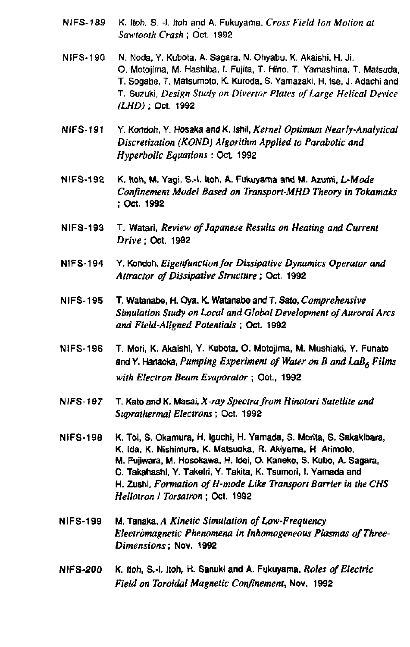- **NIFS-189 K. Itoh. S. -I. Itoh and A. Fukuyama,** *Cross Field Ion Motion at Sawtooth Crash* **; Oct. 1992**
- NIFS-190 **N.** Noda, Y. Kubota, A. Sagara, N. Ohyabu, K. Akaishi, H. Ji. **0 . Motojima, M. Hashiba, I. Fujita, T. Hino, T. Yamashina. T. Matsuda, T. Sogabe, T. Matsumoto, K. Kuroda, S. Yamazaki, H. Ise, J. Adachi and T. Suzuki,** *Design Study on Divertor Plates of Large Helical Device (LHD)* **; Oct. 1992**
- **NIFS-191 Y. Kondoh, Y. Hosaka and K. Ishii,** *Kernel Optimum Nearly-Analytical Discretization (KOND) Algorithm Applied to Parabolic and Hyperbolic Equations* **: Oct. 1992**
- **NIFS-192 K. Itoh, M. Yagi, S.-l. Itoh, A. Fukuyama and M. Azumi,** *L-Mode Confinement Model Based on Transport-MHD Theory in Tokamaks*  **; Oct. 1992**
- **NIFS-193 T. Watari,** *Review of Japanese Results on Heating and Current Drive;* **Oct. 1992**
- **NIFS-194 Y. Kondoh,** *Eigenfunction for Dissipative Dynamics Operator and Attractor of Dissipative Structure ;* **Oct. 1992**
- **NIFS-195 T. Watanabe, H. Oya, K. Watanabe and T. Sato,** *Comprehensive Simulation Study on Local and Global Development of Auroral Arcs and Field-Aligned Potentials* **; Oct. 1992**
- **NIFS-196 T. Mori, K. Akaishi, Y. Kubota, O. Motojima, M. Mushiaki, Y. Funato and Y. Hanaoka,** *Pumping Experiment of Water on B and LaB6 Films with Electron Beam Evaporator* **; Oct., 1992**
- **NIFS-197 T. Kato and K. Masai,** *X-ray Spectra from Hinotori Satellite and Suprathermal Electrons;* **Oct. 1992**
- **NIFS-19a K. Toi, S. Okamura, H. Iguchi, H. Yamada, S. Morita, S. Sakakibara, K. Ida, K. Nishimura, K. Matsuoka, R. Akiyama, H Arimoto, M. Fujiwara, M. Hosokawa, H. Idei, O. Kaneko, S. Kubo, A. Sagara, C. Takahashl, Y. Takeiri, Y. Takita, K. Tsumori, I. Yamada and H. Zushi,** *Formation ofH-mode Like Transport Barrier in the CHS Heliotron I Torsatron* **; Oct. 1992**
- **NIFS-199 M. Tanaka, A** *Kinetic Simulation of Low-Frequency Electromagnetic Phenomena in Inhomogeneous Plasmas of Three-Dimensions* **; Nov. 1992**
- **NIFS-200 K. Itoh, S.-I. Itoh, H. Sanuki and A. Fukuyama,** *Roles of Electric Field on Toroidal Magnetic Confinement,* **Nov. 1992**